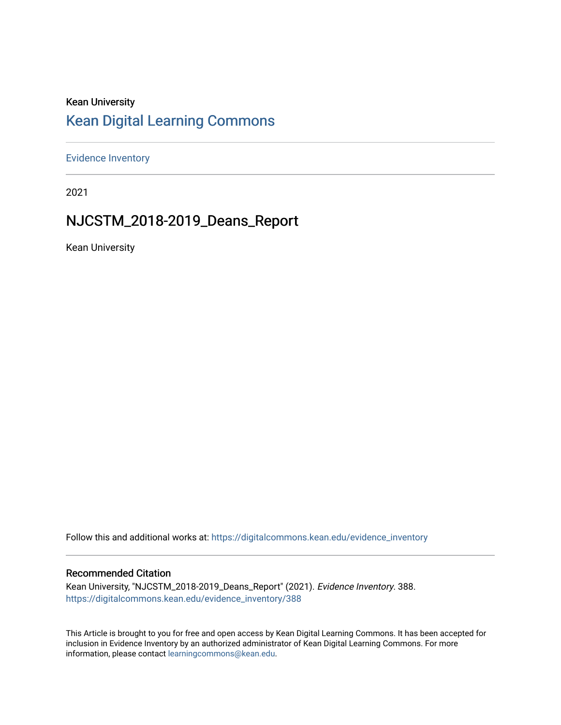## Kean University [Kean Digital Learning Commons](https://digitalcommons.kean.edu/)

[Evidence Inventory](https://digitalcommons.kean.edu/evidence_inventory) 

2021

## NJCSTM\_2018-2019\_Deans\_Report

Kean University

Follow this and additional works at: [https://digitalcommons.kean.edu/evidence\\_inventory](https://digitalcommons.kean.edu/evidence_inventory?utm_source=digitalcommons.kean.edu%2Fevidence_inventory%2F388&utm_medium=PDF&utm_campaign=PDFCoverPages)

#### Recommended Citation

Kean University, "NJCSTM\_2018-2019\_Deans\_Report" (2021). Evidence Inventory. 388. [https://digitalcommons.kean.edu/evidence\\_inventory/388](https://digitalcommons.kean.edu/evidence_inventory/388?utm_source=digitalcommons.kean.edu%2Fevidence_inventory%2F388&utm_medium=PDF&utm_campaign=PDFCoverPages)

This Article is brought to you for free and open access by Kean Digital Learning Commons. It has been accepted for inclusion in Evidence Inventory by an authorized administrator of Kean Digital Learning Commons. For more information, please contact [learningcommons@kean.edu](mailto:learningcommons@kean.edu).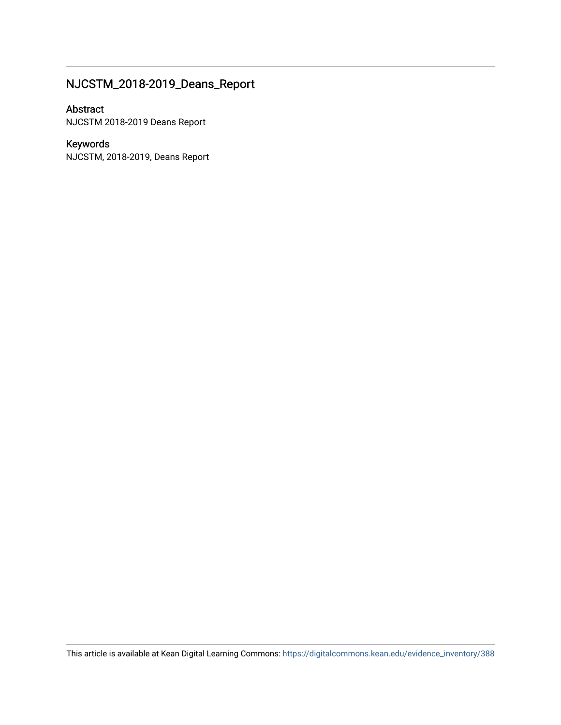## NJCSTM\_2018-2019\_Deans\_Report

#### Abstract

NJCSTM 2018-2019 Deans Report

## Keywords

NJCSTM, 2018-2019, Deans Report

This article is available at Kean Digital Learning Commons: [https://digitalcommons.kean.edu/evidence\\_inventory/388](https://digitalcommons.kean.edu/evidence_inventory/388)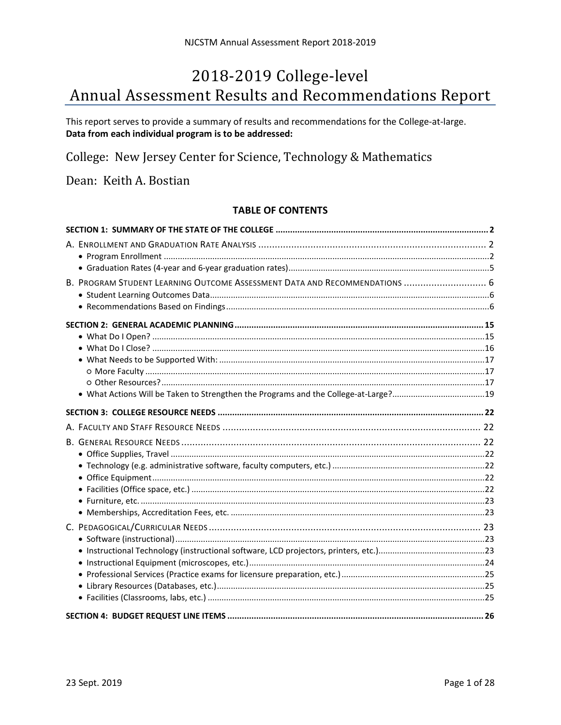# 2018-2019 College-level Annual Assessment Results and Recommendations Report

This report serves to provide a summary of results and recommendations for the College-at-large. Data from each individual program is to be addressed:

College: New Jersey Center for Science, Technology & Mathematics

Dean: Keith A. Bostian

### **TABLE OF CONTENTS**

| B. PROGRAM STUDENT LEARNING OUTCOME ASSESSMENT DATA AND RECOMMENDATIONS  6 |  |
|----------------------------------------------------------------------------|--|
|                                                                            |  |
|                                                                            |  |
|                                                                            |  |
|                                                                            |  |
|                                                                            |  |
|                                                                            |  |
|                                                                            |  |
|                                                                            |  |
|                                                                            |  |
|                                                                            |  |
|                                                                            |  |
|                                                                            |  |
|                                                                            |  |
|                                                                            |  |
|                                                                            |  |
|                                                                            |  |
|                                                                            |  |
|                                                                            |  |
|                                                                            |  |
|                                                                            |  |
|                                                                            |  |
|                                                                            |  |
|                                                                            |  |
|                                                                            |  |
|                                                                            |  |
|                                                                            |  |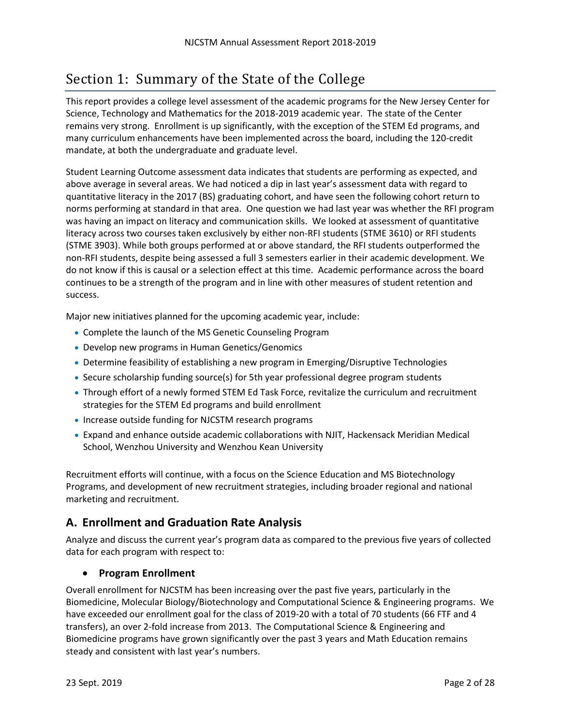## <span id="page-3-0"></span>Section 1: Summary of the State of the College

This report provides a college level assessment of the academic programs for the New Jersey Center for Science, Technology and Mathematics for the 2018-2019 academic year. The state of the Center remains very strong. Enrollment is up significantly, with the exception of the STEM Ed programs, and many curriculum enhancements have been implemented across the board, including the 120-credit mandate, at both the undergraduate and graduate level.

Student Learning Outcome assessment data indicates that students are performing as expected, and above average in several areas. We had noticed a dip in last year's assessment data with regard to quantitative literacy in the 2017 (BS) graduating cohort, and have seen the following cohort return to norms performing at standard in that area. One question we had last year was whether the RFI program was having an impact on literacy and communication skills. We looked at assessment of quantitative literacy across two courses taken exclusively by either non-RFI students (STME 3610) or RFI students (STME 3903). While both groups performed at or above standard, the RFI students outperformed the non-RFI students, despite being assessed a full 3 semesters earlier in their academic development. We do not know if this is causal or a selection effect at this time. Academic performance across the board continues to be a strength of the program and in line with other measures of student retention and success.

Major new initiatives planned for the upcoming academic year, include:

- Complete the launch of the MS Genetic Counseling Program
- Develop new programs in Human Genetics/Genomics
- Determine feasibility of establishing a new program in Emerging/Disruptive Technologies
- Secure scholarship funding source(s) for 5th year professional degree program students
- Through effort of a newly formed STEM Ed Task Force, revitalize the curriculum and recruitment strategies for the STEM Ed programs and build enrollment
- Increase outside funding for NJCSTM research programs
- Expand and enhance outside academic collaborations with NJIT, Hackensack Meridian Medical School, Wenzhou University and Wenzhou Kean University

Recruitment efforts will continue, with a focus on the Science Education and MS Biotechnology Programs, and development of new recruitment strategies, including broader regional and national marketing and recruitment.

## <span id="page-3-1"></span>**A. Enrollment and Graduation Rate Analysis**

Analyze and discuss the current year's program data as compared to the previous five years of collected data for each program with respect to:

## <span id="page-3-2"></span>• **Program Enrollment**

Overall enrollment for NJCSTM has been increasing over the past five years, particularly in the Biomedicine, Molecular Biology/Biotechnology and Computational Science & Engineering programs. We have exceeded our enrollment goal for the class of 2019-20 with a total of 70 students (66 FTF and 4 transfers), an over 2-fold increase from 2013. The Computational Science & Engineering and Biomedicine programs have grown significantly over the past 3 years and Math Education remains steady and consistent with last year's numbers.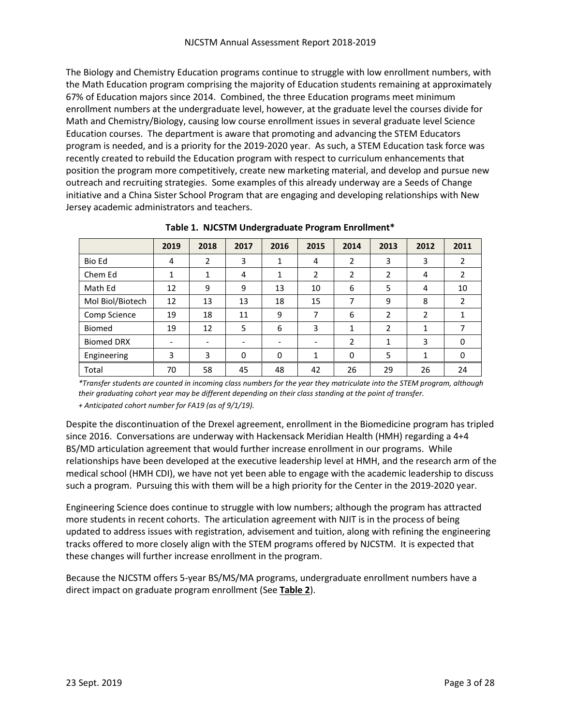The Biology and Chemistry Education programs continue to struggle with low enrollment numbers, with the Math Education program comprising the majority of Education students remaining at approximately 67% of Education majors since 2014. Combined, the three Education programs meet minimum enrollment numbers at the undergraduate level, however, at the graduate level the courses divide for Math and Chemistry/Biology, causing low course enrollment issues in several graduate level Science Education courses. The department is aware that promoting and advancing the STEM Educators program is needed, and is a priority for the 2019-2020 year. As such, a STEM Education task force was recently created to rebuild the Education program with respect to curriculum enhancements that position the program more competitively, create new marketing material, and develop and pursue new outreach and recruiting strategies. Some examples of this already underway are a Seeds of Change initiative and a China Sister School Program that are engaging and developing relationships with New Jersey academic administrators and teachers.

|                   | 2019                     | 2018 | 2017                     | 2016                     | 2015 | 2014           | 2013           | 2012         | 2011           |
|-------------------|--------------------------|------|--------------------------|--------------------------|------|----------------|----------------|--------------|----------------|
| Bio Ed            | 4                        | 2    | 3                        | 1                        | 4    | 2              | 3              | 3            | 2              |
| Chem Ed           |                          | 1    | 4                        | 1                        | 2    | $\overline{2}$ | $\overline{2}$ | 4            | $\overline{2}$ |
| Math Ed           | 12                       | 9    | 9                        | 13                       | 10   | 6              | 5              | 4            | 10             |
| Mol Biol/Biotech  | 12                       | 13   | 13                       | 18                       | 15   | 7              | 9              | 8            | 2              |
| Comp Science      | 19                       | 18   | 11                       | 9                        | 7    | 6              | 2              | 2            | 1              |
| Biomed            | 19                       | 12   | 5                        | 6                        | 3    | 1              | 2              | $\mathbf{1}$ | 7              |
| <b>Biomed DRX</b> | $\overline{\phantom{0}}$ |      | $\overline{\phantom{a}}$ | $\overline{\phantom{a}}$ |      | $\mathcal{P}$  | 1              | 3            | 0              |
| Engineering       | 3                        | 3    | $\Omega$                 | 0                        | 1    | 0              | 5              | 1            | 0              |
| Total             | 70                       | 58   | 45                       | 48                       | 42   | 26             | 29             | 26           | 24             |

**Table 1. NJCSTM Undergraduate Program Enrollment\***

*\*Transfer students are counted in incoming class numbers for the year they matriculate into the STEM program, although their graduating cohort year may be different depending on their class standing at the point of transfer. + Anticipated cohort number for FA19 (as of 9/1/19).*

Despite the discontinuation of the Drexel agreement, enrollment in the Biomedicine program has tripled since 2016. Conversations are underway with Hackensack Meridian Health (HMH) regarding a 4+4 BS/MD articulation agreement that would further increase enrollment in our programs. While relationships have been developed at the executive leadership level at HMH, and the research arm of the medical school (HMH CDI), we have not yet been able to engage with the academic leadership to discuss such a program. Pursuing this with them will be a high priority for the Center in the 2019-2020 year.

Engineering Science does continue to struggle with low numbers; although the program has attracted more students in recent cohorts. The articulation agreement with NJIT is in the process of being updated to address issues with registration, advisement and tuition, along with refining the engineering tracks offered to more closely align with the STEM programs offered by NJCSTM. It is expected that these changes will further increase enrollment in the program.

Because the NJCSTM offers 5-year BS/MS/MA programs, undergraduate enrollment numbers have a direct impact on graduate program enrollment (See **Table 2**).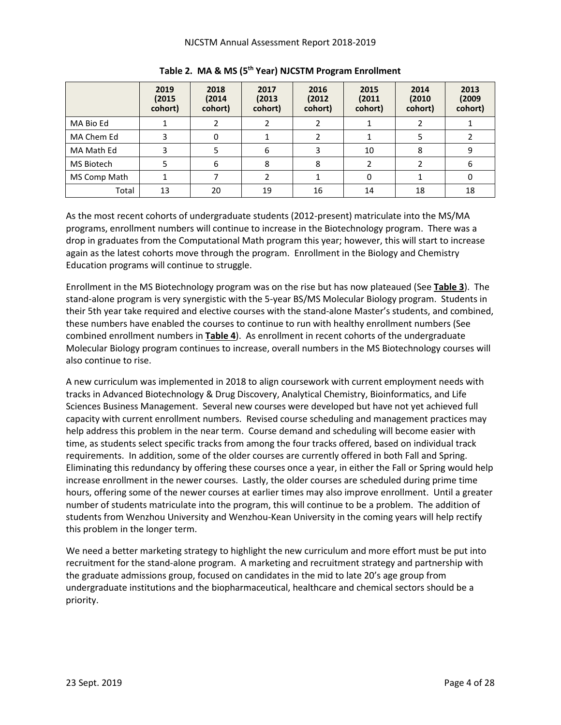|              | 2019<br>(2015)<br>cohort) | 2018<br>(2014<br>cohort) | 2017<br>(2013)<br>cohort) | 2016<br>(2012)<br>cohort) | 2015<br>(2011)<br>cohort) | 2014<br>(2010)<br>cohort) | 2013<br>(2009)<br>cohort) |
|--------------|---------------------------|--------------------------|---------------------------|---------------------------|---------------------------|---------------------------|---------------------------|
| MA Bio Ed    |                           |                          |                           |                           |                           |                           |                           |
| MA Chem Ed   |                           | 0                        |                           |                           |                           |                           |                           |
| MA Math Ed   |                           |                          | 6                         |                           | 10                        | 8                         | 9                         |
| MS Biotech   |                           | 6                        | 8                         | 8                         |                           |                           | 6                         |
| MS Comp Math |                           |                          |                           |                           | 0                         |                           | 0                         |
| Total        | 13                        | 20                       | 19                        | 16                        | 14                        | 18                        | 18                        |

**Table 2. MA & MS (5th Year) NJCSTM Program Enrollment**

As the most recent cohorts of undergraduate students (2012-present) matriculate into the MS/MA programs, enrollment numbers will continue to increase in the Biotechnology program. There was a drop in graduates from the Computational Math program this year; however, this will start to increase again as the latest cohorts move through the program. Enrollment in the Biology and Chemistry Education programs will continue to struggle.

Enrollment in the MS Biotechnology program was on the rise but has now plateaued (See **Table 3**). The stand-alone program is very synergistic with the 5-year BS/MS Molecular Biology program. Students in their 5th year take required and elective courses with the stand-alone Master's students, and combined, these numbers have enabled the courses to continue to run with healthy enrollment numbers (See combined enrollment numbers in **Table 4**). As enrollment in recent cohorts of the undergraduate Molecular Biology program continues to increase, overall numbers in the MS Biotechnology courses will also continue to rise.

A new curriculum was implemented in 2018 to align coursework with current employment needs with tracks in Advanced Biotechnology & Drug Discovery, Analytical Chemistry, Bioinformatics, and Life Sciences Business Management. Several new courses were developed but have not yet achieved full capacity with current enrollment numbers. Revised course scheduling and management practices may help address this problem in the near term. Course demand and scheduling will become easier with time, as students select specific tracks from among the four tracks offered, based on individual track requirements. In addition, some of the older courses are currently offered in both Fall and Spring. Eliminating this redundancy by offering these courses once a year, in either the Fall or Spring would help increase enrollment in the newer courses. Lastly, the older courses are scheduled during prime time hours, offering some of the newer courses at earlier times may also improve enrollment. Until a greater number of students matriculate into the program, this will continue to be a problem. The addition of students from Wenzhou University and Wenzhou-Kean University in the coming years will help rectify this problem in the longer term.

We need a better marketing strategy to highlight the new curriculum and more effort must be put into recruitment for the stand-alone program. A marketing and recruitment strategy and partnership with the graduate admissions group, focused on candidates in the mid to late 20's age group from undergraduate institutions and the biopharmaceutical, healthcare and chemical sectors should be a priority.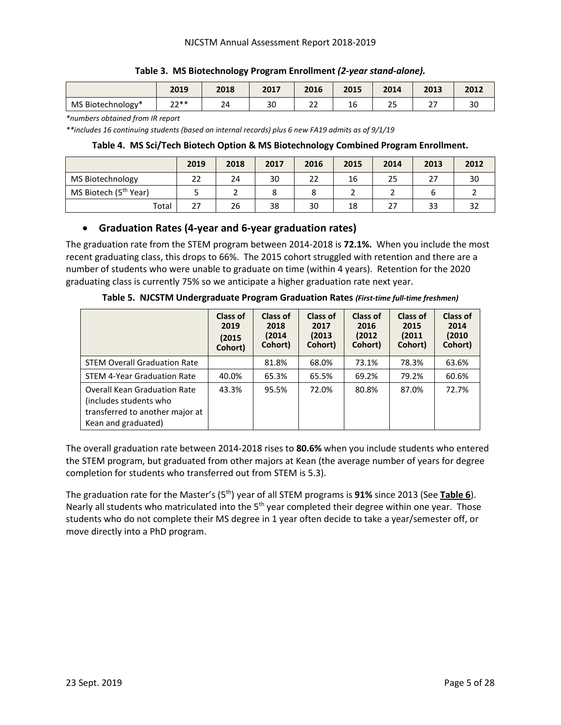|                   | 2019        | 2018    | 2017 | 2016                             | 2015                 | 2014                              | 2013                 | 2012                |
|-------------------|-------------|---------|------|----------------------------------|----------------------|-----------------------------------|----------------------|---------------------|
| MS Biotechnology* | つつ**<br>$-$ | ە،<br>- | 30   | $\sim$ $\sim$<br>22<br><u>——</u> | $\overline{a}$<br>Tp | $\sim$ $\sim$<br><u>. .</u><br>__ | $\sim$ $\sim$<br>. . | $\mathcal{L}$<br>οu |

#### **Table 3. MS Biotechnology Program Enrollment** *(2-year stand-alone).*

*\*numbers obtained from IR report*

*\*\*includes 16 continuing students (based on internal records) plus 6 new FA19 admits as of 9/1/19*

#### **Table 4. MS Sci/Tech Biotech Option & MS Biotechnology Combined Program Enrollment.**

|                                   | 2019 | 2018 | 2017 | 2016 | 2015 | 2014 | 2013 | 2012 |
|-----------------------------------|------|------|------|------|------|------|------|------|
| MS Biotechnology                  | 22   | 24   | 30   |      | 16   | 25   | 27   | 30   |
| MS Biotech (5 <sup>th</sup> Year) |      |      |      |      |      |      |      |      |
| Total                             | 27   | 26   | 38   | 30   | 18   | 27   | 33   | 32   |

### <span id="page-6-0"></span>• **Graduation Rates (4-year and 6-year graduation rates)**

The graduation rate from the STEM program between 2014-2018 is **72.1%.** When you include the most recent graduating class, this drops to 66%. The 2015 cohort struggled with retention and there are a number of students who were unable to graduate on time (within 4 years). Retention for the 2020 graduating class is currently 75% so we anticipate a higher graduation rate next year.

|                                                                                                                         | Class of<br>2019<br>(2015)<br>Cohort) | Class of<br>2018<br>(2014<br>Cohort) | Class of<br>2017<br>(2013)<br>Cohort) | Class of<br>2016<br>(2012)<br>Cohort) | Class of<br>2015<br>(2011)<br>Cohort) | Class of<br>2014<br>(2010)<br>Cohort) |
|-------------------------------------------------------------------------------------------------------------------------|---------------------------------------|--------------------------------------|---------------------------------------|---------------------------------------|---------------------------------------|---------------------------------------|
| <b>STEM Overall Graduation Rate</b>                                                                                     |                                       | 81.8%                                | 68.0%                                 | 73.1%                                 | 78.3%                                 | 63.6%                                 |
| <b>STEM 4-Year Graduation Rate</b>                                                                                      | 40.0%                                 | 65.3%                                | 65.5%                                 | 69.2%                                 | 79.2%                                 | 60.6%                                 |
| <b>Overall Kean Graduation Rate</b><br>(includes students who<br>transferred to another major at<br>Kean and graduated) | 43.3%                                 | 95.5%                                | 72.0%                                 | 80.8%                                 | 87.0%                                 | 72.7%                                 |

**Table 5. NJCSTM Undergraduate Program Graduation Rates** *(First-time full-time freshmen)*

The overall graduation rate between 2014-2018 rises to **80.6%** when you include students who entered the STEM program, but graduated from other majors at Kean (the average number of years for degree completion for students who transferred out from STEM is 5.3).

The graduation rate for the Master's (5th) year of all STEM programs is **91%** since 2013 (See **Table 6**). Nearly all students who matriculated into the 5<sup>th</sup> year completed their degree within one year. Those students who do not complete their MS degree in 1 year often decide to take a year/semester off, or move directly into a PhD program.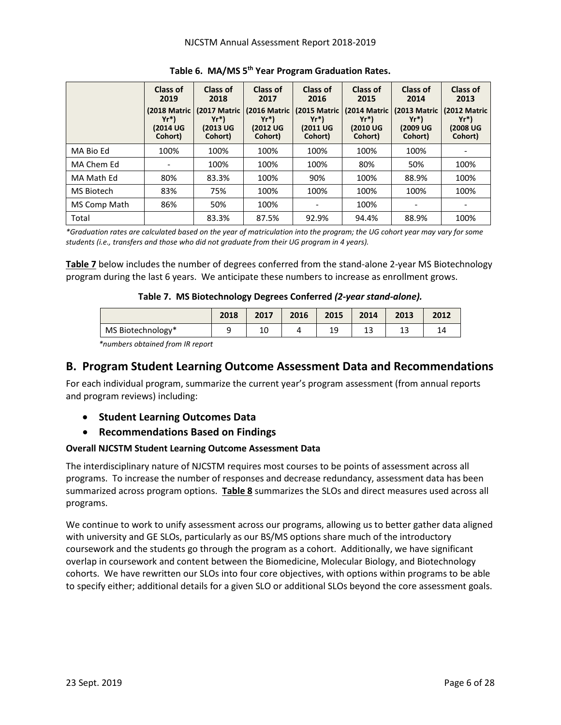|              | Class of<br>2019<br>(2018 Matric<br>$Yr^*$<br>(2014 UG<br>Cohort) | Class of<br>2018<br>(2017 Matric<br>$Yr^*$<br>(2013 UG<br>Cohort) | <b>Class of</b><br>2017<br>(2016 Matric<br>$Yr^*$<br>(2012 UG<br>Cohort) | Class of<br>2016<br>(2015 Matric<br>$Yr^*$<br>(2011 UG<br>Cohort) | <b>Class of</b><br>2015<br>(2014 Matric<br>$Yr^*$<br>(2010 UG<br>Cohort) | Class of<br>2014<br>(2013 Matric<br>$Yr^*$<br>(2009 UG<br>Cohort) | Class of<br>2013<br>(2012 Matric<br>$Yr^*$<br>(2008 UG<br>Cohort) |
|--------------|-------------------------------------------------------------------|-------------------------------------------------------------------|--------------------------------------------------------------------------|-------------------------------------------------------------------|--------------------------------------------------------------------------|-------------------------------------------------------------------|-------------------------------------------------------------------|
| MA Bio Ed    | 100%                                                              | 100%                                                              | 100%                                                                     | 100%                                                              | 100%                                                                     | 100%                                                              | -                                                                 |
| MA Chem Ed   | -                                                                 | 100%                                                              | 100%                                                                     | 100%                                                              | 80%                                                                      | 50%                                                               | 100%                                                              |
| MA Math Ed   | 80%                                                               | 83.3%                                                             | 100%                                                                     | 90%                                                               | 100%                                                                     | 88.9%                                                             | 100%                                                              |
| MS Biotech   | 83%                                                               | 75%                                                               | 100%                                                                     | 100%                                                              | 100%                                                                     | 100%                                                              | 100%                                                              |
| MS Comp Math | 86%                                                               | 50%                                                               | 100%                                                                     | $\overline{\phantom{a}}$                                          | 100%                                                                     |                                                                   |                                                                   |
| Total        |                                                                   | 83.3%                                                             | 87.5%                                                                    | 92.9%                                                             | 94.4%                                                                    | 88.9%                                                             | 100%                                                              |

**Table 6. MA/MS 5th Year Program Graduation Rates.**

*\*Graduation rates are calculated based on the year of matriculation into the program; the UG cohort year may vary for some students (i.e., transfers and those who did not graduate from their UG program in 4 years).*

**Table 7** below includes the number of degrees conferred from the stand-alone 2-year MS Biotechnology program during the last 6 years. We anticipate these numbers to increase as enrollment grows.

#### **Table 7. MS Biotechnology Degrees Conferred** *(2-year stand-alone).*

|                   | 2018 | 2017 | 2016 | 2015 | 2014          | 2013 | 2012 |
|-------------------|------|------|------|------|---------------|------|------|
| MS Biotechnology* |      | τn   |      | ∸~   | $\sim$<br>ر 1 | --   |      |

*\*numbers obtained from IR report*

## <span id="page-7-0"></span>**B. Program Student Learning Outcome Assessment Data and Recommendations**

For each individual program, summarize the current year's program assessment (from annual reports and program reviews) including:

- <span id="page-7-1"></span>• **Student Learning Outcomes Data**
- <span id="page-7-2"></span>• **Recommendations Based on Findings**

## **Overall NJCSTM Student Learning Outcome Assessment Data**

The interdisciplinary nature of NJCSTM requires most courses to be points of assessment across all programs. To increase the number of responses and decrease redundancy, assessment data has been summarized across program options. **Table 8** summarizes the SLOs and direct measures used across all programs.

We continue to work to unify assessment across our programs, allowing us to better gather data aligned with university and GE SLOs, particularly as our BS/MS options share much of the introductory coursework and the students go through the program as a cohort. Additionally, we have significant overlap in coursework and content between the Biomedicine, Molecular Biology, and Biotechnology cohorts. We have rewritten our SLOs into four core objectives, with options within programs to be able to specify either; additional details for a given SLO or additional SLOs beyond the core assessment goals.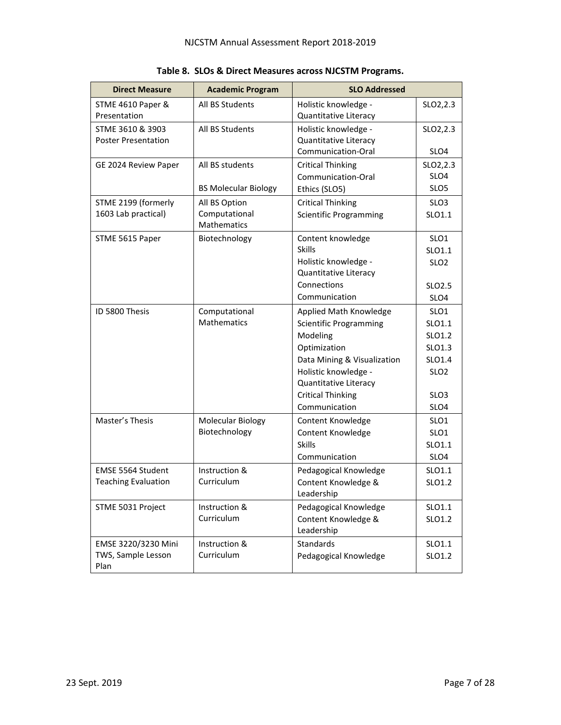| <b>Direct Measure</b>      | <b>Academic Program</b>      | <b>SLO Addressed</b>              |                    |
|----------------------------|------------------------------|-----------------------------------|--------------------|
| STME 4610 Paper &          | All BS Students              | Holistic knowledge -              | SLO2, 2.3          |
| Presentation               |                              | Quantitative Literacy             |                    |
| STME 3610 & 3903           | All BS Students              | Holistic knowledge -              | SLO2,2.3           |
| <b>Poster Presentation</b> |                              | <b>Quantitative Literacy</b>      |                    |
|                            |                              | Communication-Oral                | SLO <sub>4</sub>   |
| GE 2024 Review Paper       | All BS students              | <b>Critical Thinking</b>          | SLO2,2.3           |
|                            |                              | Communication-Oral                | SLO <sub>4</sub>   |
|                            | <b>BS Molecular Biology</b>  | Ethics (SLO5)                     | SLO <sub>5</sub>   |
| STME 2199 (formerly        | All BS Option                | <b>Critical Thinking</b>          | SLO <sub>3</sub>   |
| 1603 Lab practical)        | Computational<br>Mathematics | <b>Scientific Programming</b>     | SLO1.1             |
| STME 5615 Paper            | Biotechnology                | Content knowledge                 | SLO <sub>1</sub>   |
|                            |                              | <b>Skills</b>                     | SLO1.1             |
|                            |                              | Holistic knowledge -              | SLO <sub>2</sub>   |
|                            |                              | Quantitative Literacy             |                    |
|                            |                              | Connections                       | SLO <sub>2.5</sub> |
|                            |                              | Communication                     | SLO4               |
| ID 5800 Thesis             | Computational                | Applied Math Knowledge            | SLO <sub>1</sub>   |
|                            | <b>Mathematics</b>           | <b>Scientific Programming</b>     | SLO1.1             |
|                            |                              | Modeling                          | SLO1.2             |
|                            |                              | Optimization                      | SLO1.3             |
|                            |                              | Data Mining & Visualization       | SLO1.4             |
|                            |                              | Holistic knowledge -              | SLO <sub>2</sub>   |
|                            |                              | Quantitative Literacy             |                    |
|                            |                              | <b>Critical Thinking</b>          | SLO <sub>3</sub>   |
|                            |                              | Communication                     | SLO4               |
| Master's Thesis            | Molecular Biology            | Content Knowledge                 | SLO <sub>1</sub>   |
|                            | Biotechnology                | Content Knowledge                 | SLO <sub>1</sub>   |
|                            |                              | <b>Skills</b>                     | SLO1.1             |
|                            |                              | Communication                     | SLO4               |
| EMSE 5564 Student          | Instruction &                | Pedagogical Knowledge             | SLO1.1             |
| <b>Teaching Evaluation</b> | Curriculum                   | Content Knowledge &               | SLO1.2             |
|                            |                              | Leadership                        |                    |
| STME 5031 Project          | Instruction &                | Pedagogical Knowledge             | SLO1.1             |
|                            | Curriculum                   | Content Knowledge &<br>Leadership | SLO1.2             |
| EMSE 3220/3230 Mini        | Instruction &                | <b>Standards</b>                  | SLO1.1             |
| TWS, Sample Lesson<br>Plan | Curriculum                   | Pedagogical Knowledge             | SLO1.2             |

**Table 8. SLOs & Direct Measures across NJCSTM Programs.**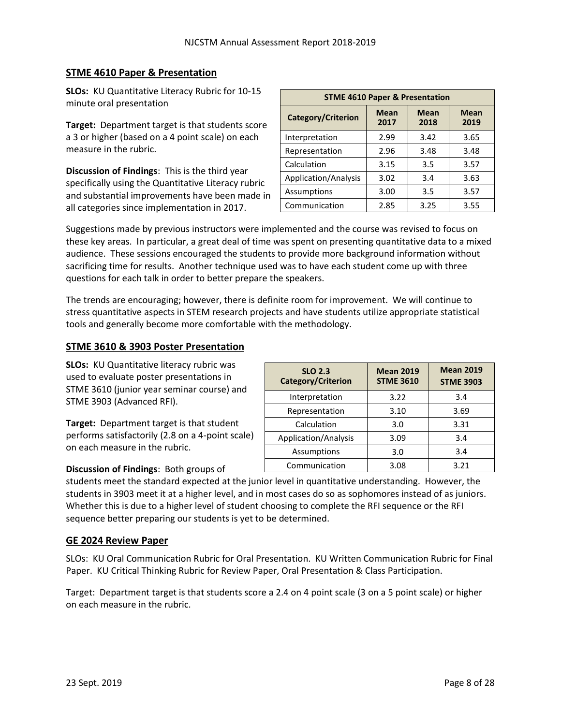## **STME 4610 Paper & Presentation**

**SLOs:** KU Quantitative Literacy Rubric for 10-15 minute oral presentation

**Target:** Department target is that students score a 3 or higher (based on a 4 point scale) on each measure in the rubric.

**Discussion of Findings**: This is the third year specifically using the Quantitative Literacy rubric and substantial improvements have been made in all categories since implementation in 2017.

| <b>STME 4610 Paper &amp; Presentation</b>                                                      |      |      |      |  |  |  |  |  |
|------------------------------------------------------------------------------------------------|------|------|------|--|--|--|--|--|
| <b>Mean</b><br><b>Mean</b><br><b>Mean</b><br><b>Category/Criterion</b><br>2018<br>2017<br>2019 |      |      |      |  |  |  |  |  |
| Interpretation                                                                                 | 2.99 | 3.42 | 3.65 |  |  |  |  |  |
| Representation                                                                                 | 2.96 | 3.48 | 3.48 |  |  |  |  |  |
| Calculation                                                                                    | 3.15 | 3.5  | 3.57 |  |  |  |  |  |
| Application/Analysis                                                                           | 3.02 | 3.4  | 3.63 |  |  |  |  |  |
| Assumptions                                                                                    | 3.00 | 3.5  | 3.57 |  |  |  |  |  |
| Communication                                                                                  | 2.85 | 3.25 | 3.55 |  |  |  |  |  |

Suggestions made by previous instructors were implemented and the course was revised to focus on these key areas. In particular, a great deal of time was spent on presenting quantitative data to a mixed audience. These sessions encouraged the students to provide more background information without sacrificing time for results. Another technique used was to have each student come up with three questions for each talk in order to better prepare the speakers.

The trends are encouraging; however, there is definite room for improvement. We will continue to stress quantitative aspects in STEM research projects and have students utilize appropriate statistical tools and generally become more comfortable with the methodology.

### **STME 3610 & 3903 Poster Presentation**

**SLOs:** KU Quantitative literacy rubric was used to evaluate poster presentations in STME 3610 (junior year seminar course) and STME 3903 (Advanced RFI).

**Target:** Department target is that student performs satisfactorily (2.8 on a 4-point scale) on each measure in the rubric.

#### **Discussion of Findings**: Both groups of

**SLO 2.3 Category/Criterion Mean 2019 STME 3610 Mean 2019 STME 3903** Interpretation  $\begin{vmatrix} 3.22 & 3.4 \end{vmatrix}$ Representation | 3.10 | 3.69 Calculation | 3.0 | 3.31 Application/Analysis | 3.09 | 3.4 Assumptions 1 3.0 3.4 Communication | 3.08 | 3.21

students meet the standard expected at the junior level in quantitative understanding. However, the students in 3903 meet it at a higher level, and in most cases do so as sophomores instead of as juniors. Whether this is due to a higher level of student choosing to complete the RFI sequence or the RFI sequence better preparing our students is yet to be determined.

#### **GE 2024 Review Paper**

SLOs: KU Oral Communication Rubric for Oral Presentation. KU Written Communication Rubric for Final Paper. KU Critical Thinking Rubric for Review Paper, Oral Presentation & Class Participation.

Target: Department target is that students score a 2.4 on 4 point scale (3 on a 5 point scale) or higher on each measure in the rubric.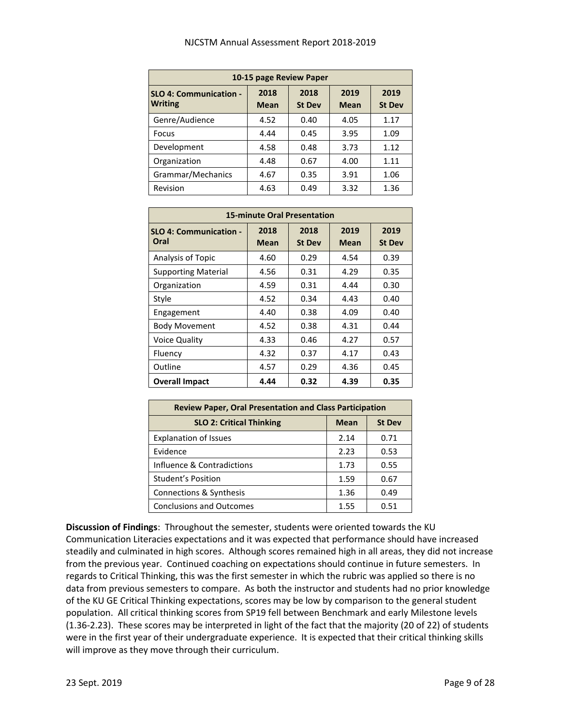| 10-15 page Review Paper                         |                     |                       |                     |                       |  |  |  |  |  |
|-------------------------------------------------|---------------------|-----------------------|---------------------|-----------------------|--|--|--|--|--|
| <b>SLO 4: Communication -</b><br><b>Writing</b> | 2018<br><b>Mean</b> | 2018<br><b>St Dev</b> | 2019<br><b>Mean</b> | 2019<br><b>St Dev</b> |  |  |  |  |  |
| Genre/Audience                                  | 4.52                | 0.40                  | 4.05                | 1.17                  |  |  |  |  |  |
| <b>Focus</b>                                    | 4.44                | 0.45                  | 3.95                | 1.09                  |  |  |  |  |  |
| Development                                     | 4.58                | 0.48                  | 3.73                | 1.12                  |  |  |  |  |  |
| Organization                                    | 4.48                | 0.67                  | 4.00                | 1.11                  |  |  |  |  |  |
| Grammar/Mechanics                               | 4.67                | 0.35                  | 3.91                | 1.06                  |  |  |  |  |  |
| Revision                                        | 4.63                | 0.49                  | 3.32                | 1.36                  |  |  |  |  |  |

| <b>15-minute Oral Presentation</b>    |              |                       |                     |                       |  |  |  |  |  |
|---------------------------------------|--------------|-----------------------|---------------------|-----------------------|--|--|--|--|--|
| <b>SLO 4: Communication -</b><br>Oral | 2018<br>Mean | 2018<br><b>St Dev</b> | 2019<br><b>Mean</b> | 2019<br><b>St Dev</b> |  |  |  |  |  |
| Analysis of Topic                     | 4.60         | 0.29                  | 4.54                | 0.39                  |  |  |  |  |  |
| <b>Supporting Material</b>            | 4.56         | 0.31                  | 4.29                | 0.35                  |  |  |  |  |  |
| Organization                          | 4.59         | 0.31                  | 4.44                | 0.30                  |  |  |  |  |  |
| Style                                 | 4.52         | 0.34                  | 4.43                | 0.40                  |  |  |  |  |  |
| Engagement                            | 4.40         | 0.38                  | 4.09                | 0.40                  |  |  |  |  |  |
| <b>Body Movement</b>                  | 4.52         | 0.38                  | 4.31                | 0.44                  |  |  |  |  |  |
| <b>Voice Quality</b>                  | 4.33         | 0.46                  | 4.27                | 0.57                  |  |  |  |  |  |
| Fluency                               | 4.32         | 0.37                  | 4.17                | 0.43                  |  |  |  |  |  |
| Outline                               | 4.57         | 0.29                  | 4.36                | 0.45                  |  |  |  |  |  |
| <b>Overall Impact</b>                 | 4.44         | 0.32                  | 4.39                | 0.35                  |  |  |  |  |  |

| <b>Review Paper, Oral Presentation and Class Participation</b>  |      |      |  |  |  |  |  |
|-----------------------------------------------------------------|------|------|--|--|--|--|--|
| <b>SLO 2: Critical Thinking</b><br><b>St Dev</b><br><b>Mean</b> |      |      |  |  |  |  |  |
| <b>Explanation of Issues</b>                                    | 2.14 | 0.71 |  |  |  |  |  |
| Evidence                                                        | 2.23 | 0.53 |  |  |  |  |  |
| Influence & Contradictions                                      | 1.73 | 0.55 |  |  |  |  |  |
| <b>Student's Position</b>                                       | 1.59 | 0.67 |  |  |  |  |  |
| Connections & Synthesis                                         | 1.36 | 0.49 |  |  |  |  |  |
| <b>Conclusions and Outcomes</b>                                 | 1.55 | 0.51 |  |  |  |  |  |

**Discussion of Findings**: Throughout the semester, students were oriented towards the KU Communication Literacies expectations and it was expected that performance should have increased steadily and culminated in high scores. Although scores remained high in all areas, they did not increase from the previous year. Continued coaching on expectations should continue in future semesters. In regards to Critical Thinking, this was the first semester in which the rubric was applied so there is no data from previous semesters to compare. As both the instructor and students had no prior knowledge of the KU GE Critical Thinking expectations, scores may be low by comparison to the general student population. All critical thinking scores from SP19 fell between Benchmark and early Milestone levels (1.36-2.23). These scores may be interpreted in light of the fact that the majority (20 of 22) of students were in the first year of their undergraduate experience. It is expected that their critical thinking skills will improve as they move through their curriculum.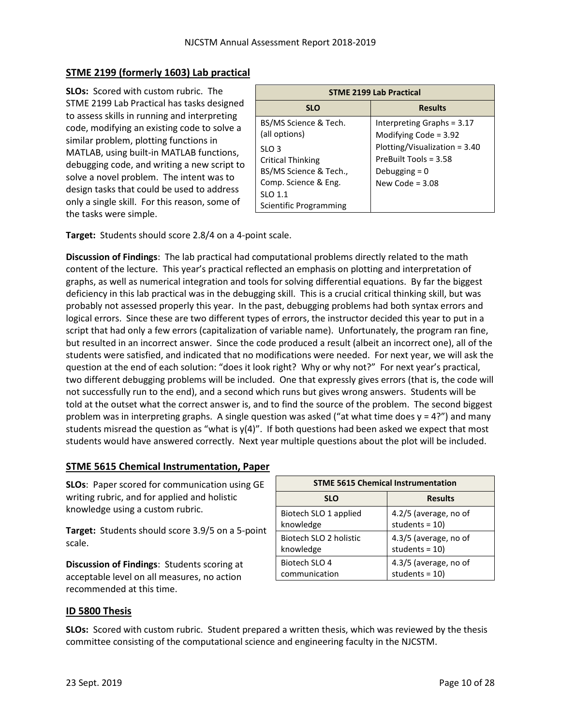## **STME 2199 (formerly 1603) Lab practical**

**SLOs:** Scored with custom rubric. The STME 2199 Lab Practical has tasks designed to assess skills in running and interpreting code, modifying an existing code to solve a similar problem, plotting functions in MATLAB, using built-in MATLAB functions, debugging code, and writing a new script to solve a novel problem. The intent was to design tasks that could be used to address only a single skill. For this reason, some of the tasks were simple.

| <b>STME 2199 Lab Practical</b> |                               |  |  |  |  |
|--------------------------------|-------------------------------|--|--|--|--|
| <b>SLO</b>                     | <b>Results</b>                |  |  |  |  |
| BS/MS Science & Tech.          | Interpreting Graphs = $3.17$  |  |  |  |  |
| (all options)                  | Modifying Code = $3.92$       |  |  |  |  |
| SLO <sub>3</sub>               | Plotting/Visualization = 3.40 |  |  |  |  |
| <b>Critical Thinking</b>       | PreBuilt Tools = $3.58$       |  |  |  |  |
| BS/MS Science & Tech.,         | Debugging $= 0$               |  |  |  |  |
| Comp. Science & Eng.           | New Code = $3.08$             |  |  |  |  |
| SLO 1.1                        |                               |  |  |  |  |
| Scientific Programming         |                               |  |  |  |  |

**Target:** Students should score 2.8/4 on a 4-point scale.

**Discussion of Findings**: The lab practical had computational problems directly related to the math content of the lecture. This year's practical reflected an emphasis on plotting and interpretation of graphs, as well as numerical integration and tools for solving differential equations. By far the biggest deficiency in this lab practical was in the debugging skill. This is a crucial critical thinking skill, but was probably not assessed properly this year. In the past, debugging problems had both syntax errors and logical errors. Since these are two different types of errors, the instructor decided this year to put in a script that had only a few errors (capitalization of variable name). Unfortunately, the program ran fine, but resulted in an incorrect answer. Since the code produced a result (albeit an incorrect one), all of the students were satisfied, and indicated that no modifications were needed. For next year, we will ask the question at the end of each solution: "does it look right? Why or why not?" For next year's practical, two different debugging problems will be included. One that expressly gives errors (that is, the code will not successfully run to the end), and a second which runs but gives wrong answers. Students will be told at the outset what the correct answer is, and to find the source of the problem. The second biggest problem was in interpreting graphs. A single question was asked ("at what time does  $y = 4$ ?") and many students misread the question as "what is y(4)". If both questions had been asked we expect that most students would have answered correctly. Next year multiple questions about the plot will be included.

#### **STME 5615 Chemical Instrumentation, Paper**

**SLOs**: Paper scored for communication using GE writing rubric, and for applied and holistic knowledge using a custom rubric.

**Target:** Students should score 3.9/5 on a 5-point scale.

**Discussion of Findings**: Students scoring at acceptable level on all measures, no action recommended at this time.

| <b>STME 5615 Chemical Instrumentation</b> |                       |  |  |  |  |  |
|-------------------------------------------|-----------------------|--|--|--|--|--|
| <b>SLO</b>                                | <b>Results</b>        |  |  |  |  |  |
| Biotech SLO 1 applied                     | 4.2/5 (average, no of |  |  |  |  |  |
| knowledge                                 | students = $10$ )     |  |  |  |  |  |
| Biotech SLO 2 holistic                    | 4.3/5 (average, no of |  |  |  |  |  |
| knowledge                                 | students = $10$ )     |  |  |  |  |  |
| Biotech SLO 4                             | 4.3/5 (average, no of |  |  |  |  |  |
| communication                             | students = $10$ )     |  |  |  |  |  |

## **ID 5800 Thesis**

**SLOs:** Scored with custom rubric. Student prepared a written thesis, which was reviewed by the thesis committee consisting of the computational science and engineering faculty in the NJCSTM.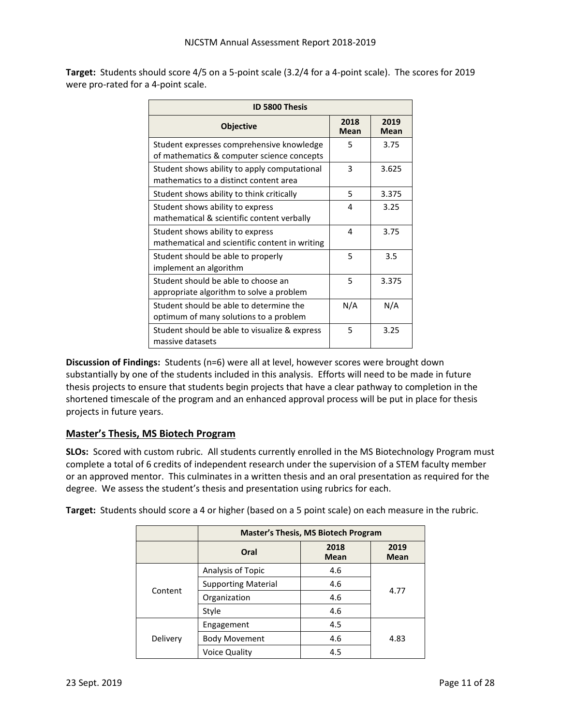**Target:** Students should score 4/5 on a 5-point scale (3.2/4 for a 4-point scale). The scores for 2019 were pro-rated for a 4-point scale.

| <b>ID 5800 Thesis</b>                                                                   |                     |                     |  |  |  |  |
|-----------------------------------------------------------------------------------------|---------------------|---------------------|--|--|--|--|
| <b>Objective</b>                                                                        | 2018<br><b>Mean</b> | 2019<br><b>Mean</b> |  |  |  |  |
| Student expresses comprehensive knowledge<br>of mathematics & computer science concepts | 5                   | 3.75                |  |  |  |  |
| Student shows ability to apply computational<br>mathematics to a distinct content area  | 3                   | 3.625               |  |  |  |  |
| Student shows ability to think critically                                               | 5                   | 3.375               |  |  |  |  |
| Student shows ability to express<br>mathematical & scientific content verbally          | 4                   | 3.25                |  |  |  |  |
| Student shows ability to express<br>mathematical and scientific content in writing      | 4                   | 3.75                |  |  |  |  |
| Student should be able to properly<br>implement an algorithm                            | 5                   | 3.5                 |  |  |  |  |
| Student should be able to choose an<br>appropriate algorithm to solve a problem         | 5                   | 3.375               |  |  |  |  |
| Student should be able to determine the<br>optimum of many solutions to a problem       | N/A                 | N/A                 |  |  |  |  |
| Student should be able to visualize & express<br>massive datasets                       | 5                   | 3.25                |  |  |  |  |

**Discussion of Findings:** Students (n=6) were all at level, however scores were brought down substantially by one of the students included in this analysis. Efforts will need to be made in future thesis projects to ensure that students begin projects that have a clear pathway to completion in the shortened timescale of the program and an enhanced approval process will be put in place for thesis projects in future years.

## **Master's Thesis, MS Biotech Program**

**SLOs:** Scored with custom rubric. All students currently enrolled in the MS Biotechnology Program must complete a total of 6 credits of independent research under the supervision of a STEM faculty member or an approved mentor. This culminates in a written thesis and an oral presentation as required for the degree. We assess the student's thesis and presentation using rubrics for each.

|          | <b>Master's Thesis, MS Biotech Program</b> |                     |                     |  |  |  |
|----------|--------------------------------------------|---------------------|---------------------|--|--|--|
|          | Oral                                       | 2018<br><b>Mean</b> | 2019<br><b>Mean</b> |  |  |  |
|          | Analysis of Topic                          | 4.6                 |                     |  |  |  |
|          | <b>Supporting Material</b>                 | 4.6                 | 4.77                |  |  |  |
| Content  | Organization                               | 4.6                 |                     |  |  |  |
|          | Style                                      | 4.6                 |                     |  |  |  |
| Delivery | Engagement                                 | 4.5                 |                     |  |  |  |
|          | <b>Body Movement</b>                       | 4.6                 | 4.83                |  |  |  |
|          | Voice Quality                              | 4.5                 |                     |  |  |  |

**Target:** Students should score a 4 or higher (based on a 5 point scale) on each measure in the rubric.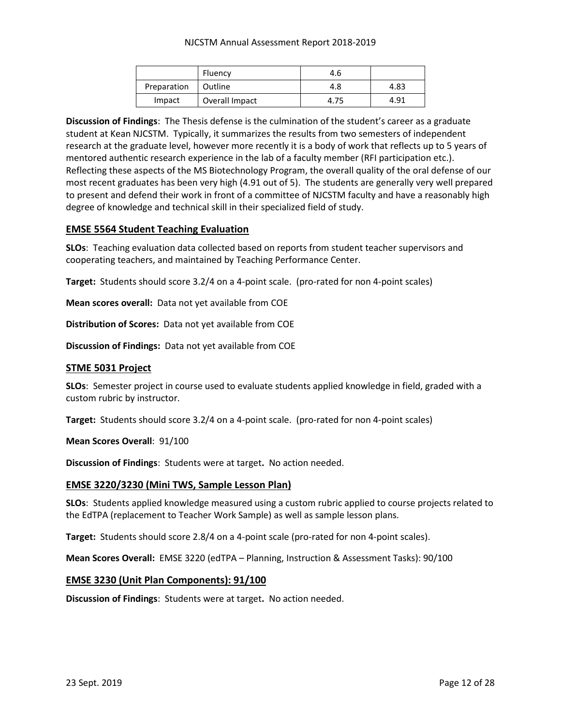#### NJCSTM Annual Assessment Report 2018-2019

|             | Fluency        | 4.6  |      |
|-------------|----------------|------|------|
| Preparation | l Outline      | 4.8  | 4.83 |
| Impact      | Overall Impact | 4.75 | 4.91 |

**Discussion of Findings**: The Thesis defense is the culmination of the student's career as a graduate student at Kean NJCSTM. Typically, it summarizes the results from two semesters of independent research at the graduate level, however more recently it is a body of work that reflects up to 5 years of mentored authentic research experience in the lab of a faculty member (RFI participation etc.). Reflecting these aspects of the MS Biotechnology Program, the overall quality of the oral defense of our most recent graduates has been very high (4.91 out of 5). The students are generally very well prepared to present and defend their work in front of a committee of NJCSTM faculty and have a reasonably high degree of knowledge and technical skill in their specialized field of study.

#### **EMSE 5564 Student Teaching Evaluation**

**SLOs**: Teaching evaluation data collected based on reports from student teacher supervisors and cooperating teachers, and maintained by Teaching Performance Center.

**Target:** Students should score 3.2/4 on a 4-point scale. (pro-rated for non 4-point scales)

**Mean scores overall:** Data not yet available from COE

**Distribution of Scores:** Data not yet available from COE

**Discussion of Findings:** Data not yet available from COE

#### **STME 5031 Project**

**SLOs**: Semester project in course used to evaluate students applied knowledge in field, graded with a custom rubric by instructor.

**Target:** Students should score 3.2/4 on a 4-point scale. (pro-rated for non 4-point scales)

**Mean Scores Overall**: 91/100

**Discussion of Findings**: Students were at target**.** No action needed.

#### **EMSE 3220/3230 (Mini TWS, Sample Lesson Plan)**

**SLOs**: Students applied knowledge measured using a custom rubric applied to course projects related to the EdTPA (replacement to Teacher Work Sample) as well as sample lesson plans.

**Target:** Students should score 2.8/4 on a 4-point scale (pro-rated for non 4-point scales).

**Mean Scores Overall:** EMSE 3220 (edTPA – Planning, Instruction & Assessment Tasks): 90/100

#### **EMSE 3230 (Unit Plan Components): 91/100**

**Discussion of Findings**: Students were at target**.** No action needed.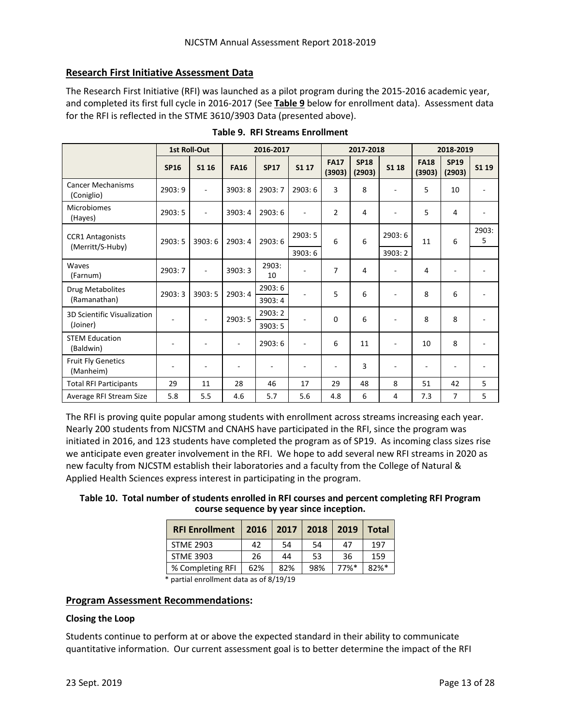## **Research First Initiative Assessment Data**

The Research First Initiative (RFI) was launched as a pilot program during the 2015-2016 academic year, and completed its first full cycle in 2016-2017 (See **Table 9** below for enrollment data). Assessment data for the RFI is reflected in the STME 3610/3903 Data (presented above).

|                                        |                          | <b>1st Roll-Out</b>      |                          | 2016-2017   |        | 2017-2018             |                       |                          | 2018-2019                |                       |                          |
|----------------------------------------|--------------------------|--------------------------|--------------------------|-------------|--------|-----------------------|-----------------------|--------------------------|--------------------------|-----------------------|--------------------------|
|                                        | <b>SP16</b>              | S1 16                    | <b>FA16</b>              | <b>SP17</b> | S1 17  | <b>FA17</b><br>(3903) | <b>SP18</b><br>(2903) | S1 18                    | <b>FA18</b><br>(3903)    | <b>SP19</b><br>(2903) | S1 19                    |
| <b>Cancer Mechanisms</b><br>(Coniglio) | 2903:9                   | $\blacksquare$           | 3903:8                   | 2903:7      | 2903:6 | 3                     | 8                     | $\overline{a}$           | 5                        | 10                    | $\overline{\phantom{a}}$ |
| <b>Microbiomes</b><br>(Hayes)          | 2903:5                   | $\blacksquare$           | 3903:4                   | 2903:6      | ÷,     | $\overline{2}$        | 4                     | $\overline{a}$           | 5                        | 4                     |                          |
| <b>CCR1 Antagonists</b>                | 2903:5                   | 3903:6                   | 2903:4                   | 2903:6      | 2903:5 | 6                     | 6                     | 2903:6                   | 11                       | 6                     | 2903:<br>5               |
| (Merritt/S-Huby)                       |                          |                          |                          |             | 3903:6 |                       |                       | 3903:2                   |                          |                       |                          |
| Waves<br>(Farnum)                      | 2903:7                   | $\sim$                   | 3903:3                   | 2903:<br>10 |        | 7                     | 4                     | L.                       | 4                        |                       |                          |
| Drug Metabolites                       | 2903:3                   | 3903:5                   | 2903:4                   | 2903:6      |        | 5                     | 6                     | $\overline{\phantom{a}}$ | 8                        | 6                     |                          |
| (Ramanathan)                           |                          |                          |                          | 3903:4      |        |                       |                       |                          |                          |                       |                          |
| <b>3D Scientific Visualization</b>     | ٠                        | $\blacksquare$           | 2903:5                   | 2903:2      | ٠      | $\Omega$              | 6                     | $\overline{\phantom{a}}$ | 8                        | 8                     |                          |
| (Joiner)                               |                          |                          |                          | 3903:5      |        |                       |                       |                          |                          |                       |                          |
| <b>STEM Education</b><br>(Baldwin)     | $\overline{\phantom{a}}$ | $\sim$                   | $\overline{\phantom{a}}$ | 2903:6      | ÷,     | 6                     | 11                    | ÷,                       | 10                       | 8                     | ٠                        |
| <b>Fruit Fly Genetics</b><br>(Manheim) | ٠                        | $\overline{\phantom{a}}$ | ٠                        |             |        | ٠                     | 3                     |                          | $\overline{\phantom{a}}$ |                       |                          |
| <b>Total RFI Participants</b>          | 29                       | 11                       | 28                       | 46          | 17     | 29                    | 48                    | 8                        | 51                       | 42                    | 5                        |
| Average RFI Stream Size                | 5.8                      | 5.5                      | 4.6                      | 5.7         | 5.6    | 4.8                   | 6                     | 4                        | 7.3                      | 7                     | 5                        |

|  | Table 9. RFI Streams Enrollment |  |
|--|---------------------------------|--|
|--|---------------------------------|--|

The RFI is proving quite popular among students with enrollment across streams increasing each year. Nearly 200 students from NJCSTM and CNAHS have participated in the RFI, since the program was initiated in 2016, and 123 students have completed the program as of SP19. As incoming class sizes rise we anticipate even greater involvement in the RFI. We hope to add several new RFI streams in 2020 as new faculty from NJCSTM establish their laboratories and a faculty from the College of Natural & Applied Health Sciences express interest in participating in the program.

| Table 10. Total number of students enrolled in RFI courses and percent completing RFI Program |
|-----------------------------------------------------------------------------------------------|
| course sequence by year since inception.                                                      |

| <b>RFI Enrollment</b> | 2016 | 2017 | $ 2018\rangle$ | 2019    | Total   |
|-----------------------|------|------|----------------|---------|---------|
| <b>STME 2903</b>      | 42   | 54   | 54             | 47      | 197     |
| <b>STME 3903</b>      | 26   | 44   | 53             | 36      | 159     |
| % Completing RFI      | 62%  | 82%  | 98%            | $77%$ * | $82%$ * |

\* partial enrollment data as of 8/19/19

#### **Program Assessment Recommendations:**

#### **Closing the Loop**

Students continue to perform at or above the expected standard in their ability to communicate quantitative information. Our current assessment goal is to better determine the impact of the RFI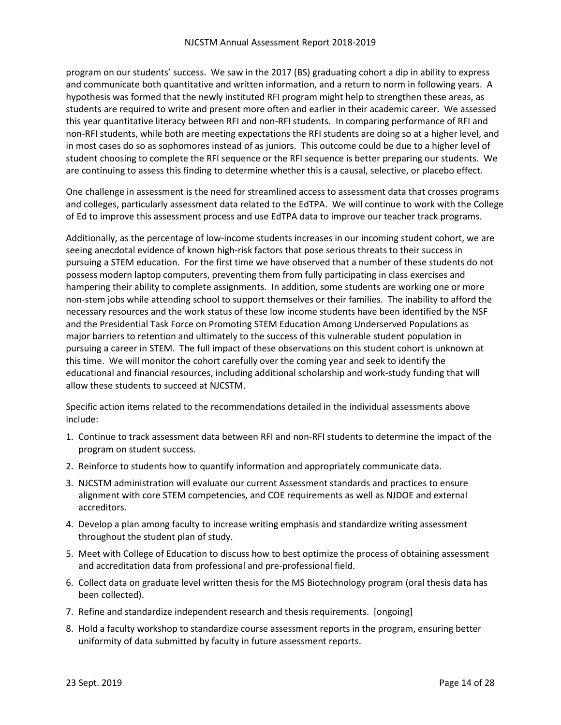program on our students' success. We saw in the 2017 (BS) graduating cohort a dip in ability to express and communicate both quantitative and written information, and a return to norm in following years. A hypothesis was formed that the newly instituted RFI program might help to strengthen these areas, as students are required to write and present more often and earlier in their academic career. We assessed this year quantitative literacy between RFI and non-RFI students. In comparing performance of RFI and non-RFI students, while both are meeting expectations the RFI students are doing so at a higher level, and in most cases do so as sophomores instead of as juniors. This outcome could be due to a higher level of student choosing to complete the RFI sequence or the RFI sequence is better preparing our students. We are continuing to assess this finding to determine whether this is a causal, selective, or placebo effect.

One challenge in assessment is the need for streamlined access to assessment data that crosses programs and colleges, particularly assessment data related to the EdTPA. We will continue to work with the College of Ed to improve this assessment process and use EdTPA data to improve our teacher track programs.

Additionally, as the percentage of low-income students increases in our incoming student cohort, we are seeing anecdotal evidence of known high-risk factors that pose serious threats to their success in pursuing a STEM education. For the first time we have observed that a number of these students do not possess modern laptop computers, preventing them from fully participating in class exercises and hampering their ability to complete assignments. In addition, some students are working one or more non-stem jobs while attending school to support themselves or their families. The inability to afford the necessary resources and the work status of these low income students have been identified by the NSF and the Presidential Task Force on Promoting STEM Education Among Underserved Populations as major barriers to retention and ultimately to the success of this vulnerable student population in pursuing a career in STEM. The full impact of these observations on this student cohort is unknown at this time. We will monitor the cohort carefully over the coming year and seek to identify the educational and financial resources, including additional scholarship and work-study funding that will allow these students to succeed at NJCSTM.

Specific action items related to the recommendations detailed in the individual assessments above include:

- 1. Continue to track assessment data between RFI and non-RFI students to determine the impact of the program on student success.
- 2. Reinforce to students how to quantify information and appropriately communicate data.
- 3. NJCSTM administration will evaluate our current Assessment standards and practices to ensure alignment with core STEM competencies, and COE requirements as well as NJDOE and external accreditors.
- 4. Develop a plan among faculty to increase writing emphasis and standardize writing assessment throughout the student plan of study.
- 5. Meet with College of Education to discuss how to best optimize the process of obtaining assessment and accreditation data from professional and pre-professional field.
- 6. Collect data on graduate level written thesis for the MS Biotechnology program (oral thesis data has been collected).
- 7. Refine and standardize independent research and thesis requirements. [ongoing]
- 8. Hold a faculty workshop to standardize course assessment reports in the program, ensuring better uniformity of data submitted by faculty in future assessment reports.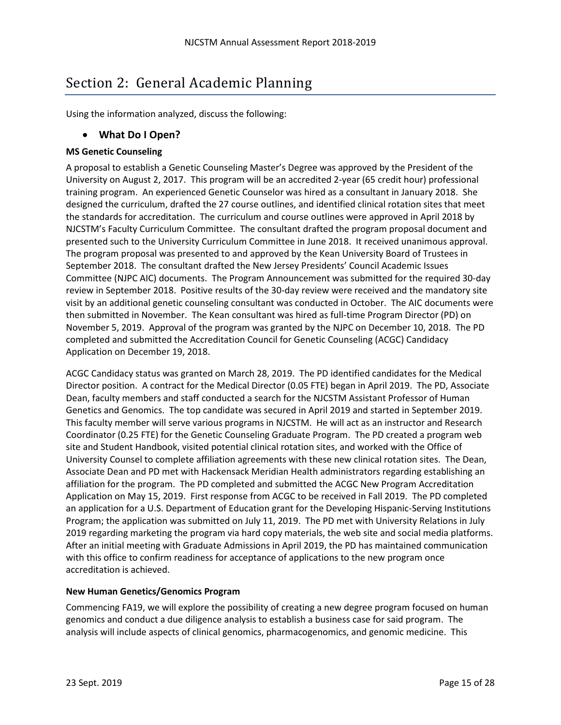## <span id="page-16-0"></span>Section 2: General Academic Planning

<span id="page-16-1"></span>Using the information analyzed, discuss the following:

## • **What Do I Open?**

#### **MS Genetic Counseling**

A proposal to establish a Genetic Counseling Master's Degree was approved by the President of the University on August 2, 2017. This program will be an accredited 2-year (65 credit hour) professional training program. An experienced Genetic Counselor was hired as a consultant in January 2018. She designed the curriculum, drafted the 27 course outlines, and identified clinical rotation sites that meet the standards for accreditation. The curriculum and course outlines were approved in April 2018 by NJCSTM's Faculty Curriculum Committee. The consultant drafted the program proposal document and presented such to the University Curriculum Committee in June 2018. It received unanimous approval. The program proposal was presented to and approved by the Kean University Board of Trustees in September 2018. The consultant drafted the New Jersey Presidents' Council Academic Issues Committee (NJPC AIC) documents. The Program Announcement was submitted for the required 30-day review in September 2018. Positive results of the 30-day review were received and the mandatory site visit by an additional genetic counseling consultant was conducted in October. The AIC documents were then submitted in November. The Kean consultant was hired as full-time Program Director (PD) on November 5, 2019. Approval of the program was granted by the NJPC on December 10, 2018. The PD completed and submitted the Accreditation Council for Genetic Counseling (ACGC) Candidacy Application on December 19, 2018.

ACGC Candidacy status was granted on March 28, 2019. The PD identified candidates for the Medical Director position. A contract for the Medical Director (0.05 FTE) began in April 2019. The PD, Associate Dean, faculty members and staff conducted a search for the NJCSTM Assistant Professor of Human Genetics and Genomics. The top candidate was secured in April 2019 and started in September 2019. This faculty member will serve various programs in NJCSTM. He will act as an instructor and Research Coordinator (0.25 FTE) for the Genetic Counseling Graduate Program. The PD created a program web site and Student Handbook, visited potential clinical rotation sites, and worked with the Office of University Counsel to complete affiliation agreements with these new clinical rotation sites. The Dean, Associate Dean and PD met with Hackensack Meridian Health administrators regarding establishing an affiliation for the program. The PD completed and submitted the ACGC New Program Accreditation Application on May 15, 2019. First response from ACGC to be received in Fall 2019. The PD completed an application for a U.S. Department of Education grant for the Developing Hispanic-Serving Institutions Program; the application was submitted on July 11, 2019. The PD met with University Relations in July 2019 regarding marketing the program via hard copy materials, the web site and social media platforms. After an initial meeting with Graduate Admissions in April 2019, the PD has maintained communication with this office to confirm readiness for acceptance of applications to the new program once accreditation is achieved.

#### **New Human Genetics/Genomics Program**

Commencing FA19, we will explore the possibility of creating a new degree program focused on human genomics and conduct a due diligence analysis to establish a business case for said program. The analysis will include aspects of clinical genomics, pharmacogenomics, and genomic medicine. This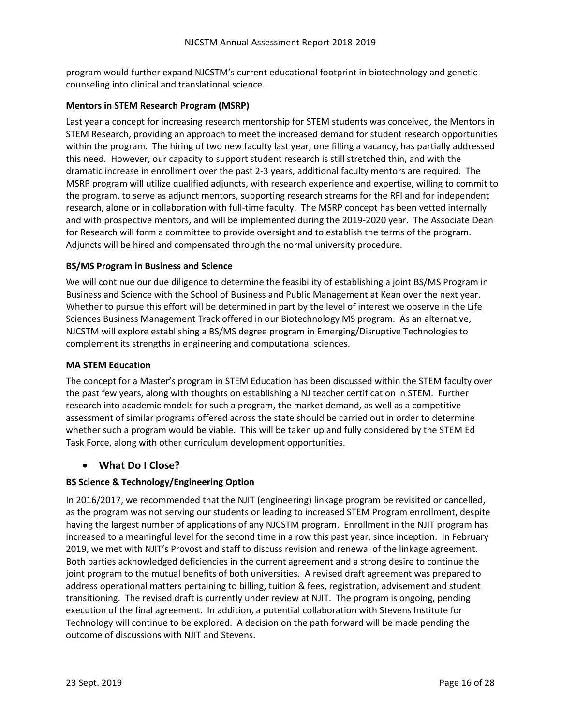program would further expand NJCSTM's current educational footprint in biotechnology and genetic counseling into clinical and translational science.

#### **Mentors in STEM Research Program (MSRP)**

Last year a concept for increasing research mentorship for STEM students was conceived, the Mentors in STEM Research, providing an approach to meet the increased demand for student research opportunities within the program. The hiring of two new faculty last year, one filling a vacancy, has partially addressed this need. However, our capacity to support student research is still stretched thin, and with the dramatic increase in enrollment over the past 2-3 years, additional faculty mentors are required. The MSRP program will utilize qualified adjuncts, with research experience and expertise, willing to commit to the program, to serve as adjunct mentors, supporting research streams for the RFI and for independent research, alone or in collaboration with full-time faculty. The MSRP concept has been vetted internally and with prospective mentors, and will be implemented during the 2019-2020 year. The Associate Dean for Research will form a committee to provide oversight and to establish the terms of the program. Adjuncts will be hired and compensated through the normal university procedure.

#### **BS/MS Program in Business and Science**

We will continue our due diligence to determine the feasibility of establishing a joint BS/MS Program in Business and Science with the School of Business and Public Management at Kean over the next year. Whether to pursue this effort will be determined in part by the level of interest we observe in the Life Sciences Business Management Track offered in our Biotechnology MS program. As an alternative, NJCSTM will explore establishing a BS/MS degree program in Emerging/Disruptive Technologies to complement its strengths in engineering and computational sciences.

#### **MA STEM Education**

The concept for a Master's program in STEM Education has been discussed within the STEM faculty over the past few years, along with thoughts on establishing a NJ teacher certification in STEM. Further research into academic models for such a program, the market demand, as well as a competitive assessment of similar programs offered across the state should be carried out in order to determine whether such a program would be viable. This will be taken up and fully considered by the STEM Ed Task Force, along with other curriculum development opportunities.

#### <span id="page-17-0"></span>• **What Do I Close?**

#### **BS Science & Technology/Engineering Option**

In 2016/2017, we recommended that the NJIT (engineering) linkage program be revisited or cancelled, as the program was not serving our students or leading to increased STEM Program enrollment, despite having the largest number of applications of any NJCSTM program. Enrollment in the NJIT program has increased to a meaningful level for the second time in a row this past year, since inception. In February 2019, we met with NJIT's Provost and staff to discuss revision and renewal of the linkage agreement. Both parties acknowledged deficiencies in the current agreement and a strong desire to continue the joint program to the mutual benefits of both universities. A revised draft agreement was prepared to address operational matters pertaining to billing, tuition & fees, registration, advisement and student transitioning. The revised draft is currently under review at NJIT. The program is ongoing, pending execution of the final agreement. In addition, a potential collaboration with Stevens Institute for Technology will continue to be explored. A decision on the path forward will be made pending the outcome of discussions with NJIT and Stevens.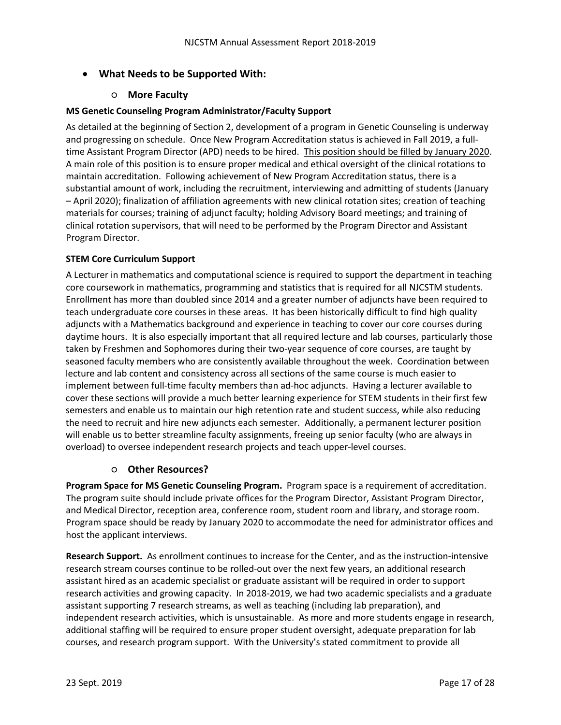## <span id="page-18-0"></span>• **What Needs to be Supported With:**

#### ○ **More Faculty**

#### <span id="page-18-1"></span>**MS Genetic Counseling Program Administrator/Faculty Support**

As detailed at the beginning of Section 2, development of a program in Genetic Counseling is underway and progressing on schedule. Once New Program Accreditation status is achieved in Fall 2019, a fulltime Assistant Program Director (APD) needs to be hired. This position should be filled by January 2020. A main role of this position is to ensure proper medical and ethical oversight of the clinical rotations to maintain accreditation. Following achievement of New Program Accreditation status, there is a substantial amount of work, including the recruitment, interviewing and admitting of students (January – April 2020); finalization of affiliation agreements with new clinical rotation sites; creation of teaching materials for courses; training of adjunct faculty; holding Advisory Board meetings; and training of clinical rotation supervisors, that will need to be performed by the Program Director and Assistant Program Director.

#### **STEM Core Curriculum Support**

A Lecturer in mathematics and computational science is required to support the department in teaching core coursework in mathematics, programming and statistics that is required for all NJCSTM students. Enrollment has more than doubled since 2014 and a greater number of adjuncts have been required to teach undergraduate core courses in these areas. It has been historically difficult to find high quality adjuncts with a Mathematics background and experience in teaching to cover our core courses during daytime hours. It is also especially important that all required lecture and lab courses, particularly those taken by Freshmen and Sophomores during their two-year sequence of core courses, are taught by seasoned faculty members who are consistently available throughout the week. Coordination between lecture and lab content and consistency across all sections of the same course is much easier to implement between full-time faculty members than ad-hoc adjuncts. Having a lecturer available to cover these sections will provide a much better learning experience for STEM students in their first few semesters and enable us to maintain our high retention rate and student success, while also reducing the need to recruit and hire new adjuncts each semester. Additionally, a permanent lecturer position will enable us to better streamline faculty assignments, freeing up senior faculty (who are always in overload) to oversee independent research projects and teach upper-level courses.

#### ○ **Other Resources?**

<span id="page-18-2"></span>**Program Space for MS Genetic Counseling Program.** Program space is a requirement of accreditation. The program suite should include private offices for the Program Director, Assistant Program Director, and Medical Director, reception area, conference room, student room and library, and storage room. Program space should be ready by January 2020 to accommodate the need for administrator offices and host the applicant interviews.

**Research Support.** As enrollment continues to increase for the Center, and as the instruction-intensive research stream courses continue to be rolled-out over the next few years, an additional research assistant hired as an academic specialist or graduate assistant will be required in order to support research activities and growing capacity. In 2018-2019, we had two academic specialists and a graduate assistant supporting 7 research streams, as well as teaching (including lab preparation), and independent research activities, which is unsustainable. As more and more students engage in research, additional staffing will be required to ensure proper student oversight, adequate preparation for lab courses, and research program support. With the University's stated commitment to provide all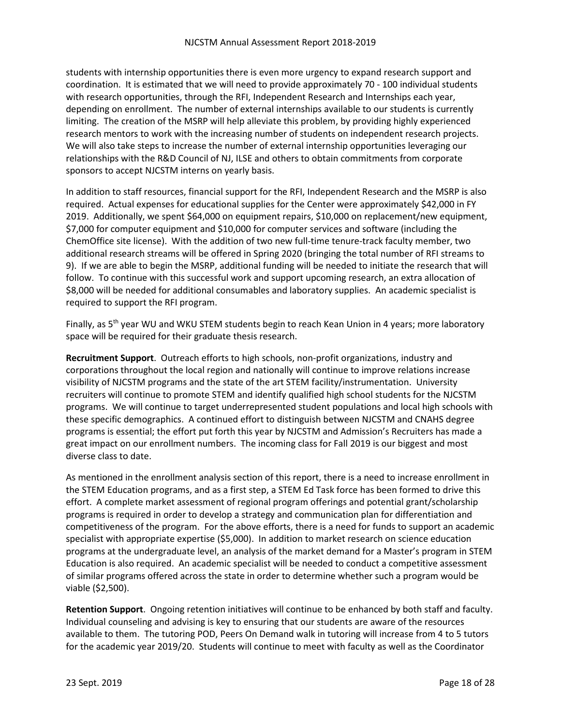students with internship opportunities there is even more urgency to expand research support and coordination. It is estimated that we will need to provide approximately 70 - 100 individual students with research opportunities, through the RFI, Independent Research and Internships each year, depending on enrollment. The number of external internships available to our students is currently limiting. The creation of the MSRP will help alleviate this problem, by providing highly experienced research mentors to work with the increasing number of students on independent research projects. We will also take steps to increase the number of external internship opportunities leveraging our relationships with the R&D Council of NJ, ILSE and others to obtain commitments from corporate sponsors to accept NJCSTM interns on yearly basis.

In addition to staff resources, financial support for the RFI, Independent Research and the MSRP is also required. Actual expenses for educational supplies for the Center were approximately \$42,000 in FY 2019. Additionally, we spent \$64,000 on equipment repairs, \$10,000 on replacement/new equipment, \$7,000 for computer equipment and \$10,000 for computer services and software (including the ChemOffice site license). With the addition of two new full-time tenure-track faculty member, two additional research streams will be offered in Spring 2020 (bringing the total number of RFI streams to 9). If we are able to begin the MSRP, additional funding will be needed to initiate the research that will follow. To continue with this successful work and support upcoming research, an extra allocation of \$8,000 will be needed for additional consumables and laboratory supplies. An academic specialist is required to support the RFI program.

Finally, as 5<sup>th</sup> year WU and WKU STEM students begin to reach Kean Union in 4 years; more laboratory space will be required for their graduate thesis research.

**Recruitment Support**. Outreach efforts to high schools, non-profit organizations, industry and corporations throughout the local region and nationally will continue to improve relations increase visibility of NJCSTM programs and the state of the art STEM facility/instrumentation. University recruiters will continue to promote STEM and identify qualified high school students for the NJCSTM programs. We will continue to target underrepresented student populations and local high schools with these specific demographics. A continued effort to distinguish between NJCSTM and CNAHS degree programs is essential; the effort put forth this year by NJCSTM and Admission's Recruiters has made a great impact on our enrollment numbers. The incoming class for Fall 2019 is our biggest and most diverse class to date.

As mentioned in the enrollment analysis section of this report, there is a need to increase enrollment in the STEM Education programs, and as a first step, a STEM Ed Task force has been formed to drive this effort. A complete market assessment of regional program offerings and potential grant/scholarship programs is required in order to develop a strategy and communication plan for differentiation and competitiveness of the program. For the above efforts, there is a need for funds to support an academic specialist with appropriate expertise (\$5,000). In addition to market research on science education programs at the undergraduate level, an analysis of the market demand for a Master's program in STEM Education is also required. An academic specialist will be needed to conduct a competitive assessment of similar programs offered across the state in order to determine whether such a program would be viable (\$2,500).

**Retention Support**. Ongoing retention initiatives will continue to be enhanced by both staff and faculty. Individual counseling and advising is key to ensuring that our students are aware of the resources available to them. The tutoring POD, Peers On Demand walk in tutoring will increase from 4 to 5 tutors for the academic year 2019/20. Students will continue to meet with faculty as well as the Coordinator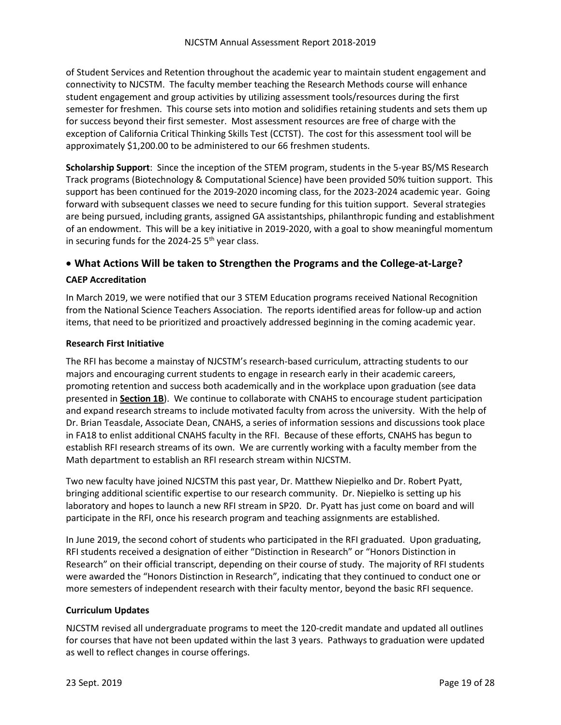of Student Services and Retention throughout the academic year to maintain student engagement and connectivity to NJCSTM. The faculty member teaching the Research Methods course will enhance student engagement and group activities by utilizing assessment tools/resources during the first semester for freshmen. This course sets into motion and solidifies retaining students and sets them up for success beyond their first semester. Most assessment resources are free of charge with the exception of California Critical Thinking Skills Test (CCTST). The cost for this assessment tool will be approximately \$1,200.00 to be administered to our 66 freshmen students.

**Scholarship Support**: Since the inception of the STEM program, students in the 5-year BS/MS Research Track programs (Biotechnology & Computational Science) have been provided 50% tuition support. This support has been continued for the 2019-2020 incoming class, for the 2023-2024 academic year. Going forward with subsequent classes we need to secure funding for this tuition support. Several strategies are being pursued, including grants, assigned GA assistantships, philanthropic funding and establishment of an endowment. This will be a key initiative in 2019-2020, with a goal to show meaningful momentum in securing funds for the 2024-25  $5<sup>th</sup>$  year class.

### <span id="page-20-0"></span>• **What Actions Will be taken to Strengthen the Programs and the College-at-Large?**

#### **CAEP Accreditation**

In March 2019, we were notified that our 3 STEM Education programs received National Recognition from the National Science Teachers Association. The reports identified areas for follow-up and action items, that need to be prioritized and proactively addressed beginning in the coming academic year.

#### **Research First Initiative**

The RFI has become a mainstay of NJCSTM's research-based curriculum, attracting students to our majors and encouraging current students to engage in research early in their academic careers, promoting retention and success both academically and in the workplace upon graduation (see data presented in **Section 1B**). We continue to collaborate with CNAHS to encourage student participation and expand research streams to include motivated faculty from across the university. With the help of Dr. Brian Teasdale, Associate Dean, CNAHS, a series of information sessions and discussions took place in FA18 to enlist additional CNAHS faculty in the RFI. Because of these efforts, CNAHS has begun to establish RFI research streams of its own. We are currently working with a faculty member from the Math department to establish an RFI research stream within NJCSTM.

Two new faculty have joined NJCSTM this past year, Dr. Matthew Niepielko and Dr. Robert Pyatt, bringing additional scientific expertise to our research community. Dr. Niepielko is setting up his laboratory and hopes to launch a new RFI stream in SP20. Dr. Pyatt has just come on board and will participate in the RFI, once his research program and teaching assignments are established.

In June 2019, the second cohort of students who participated in the RFI graduated. Upon graduating, RFI students received a designation of either "Distinction in Research" or "Honors Distinction in Research" on their official transcript, depending on their course of study. The majority of RFI students were awarded the "Honors Distinction in Research", indicating that they continued to conduct one or more semesters of independent research with their faculty mentor, beyond the basic RFI sequence.

#### **Curriculum Updates**

NJCSTM revised all undergraduate programs to meet the 120-credit mandate and updated all outlines for courses that have not been updated within the last 3 years. Pathways to graduation were updated as well to reflect changes in course offerings.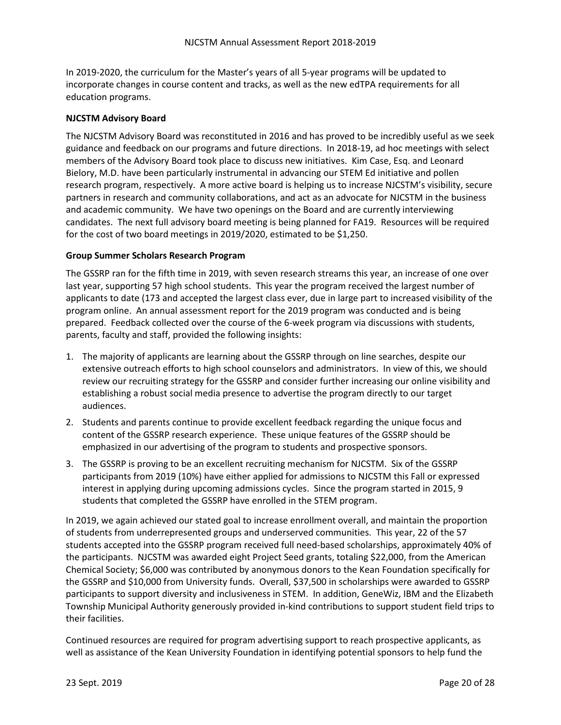In 2019-2020, the curriculum for the Master's years of all 5-year programs will be updated to incorporate changes in course content and tracks, as well as the new edTPA requirements for all education programs.

#### **NJCSTM Advisory Board**

The NJCSTM Advisory Board was reconstituted in 2016 and has proved to be incredibly useful as we seek guidance and feedback on our programs and future directions. In 2018-19, ad hoc meetings with select members of the Advisory Board took place to discuss new initiatives. Kim Case, Esq. and Leonard Bielory, M.D. have been particularly instrumental in advancing our STEM Ed initiative and pollen research program, respectively. A more active board is helping us to increase NJCSTM's visibility, secure partners in research and community collaborations, and act as an advocate for NJCSTM in the business and academic community. We have two openings on the Board and are currently interviewing candidates. The next full advisory board meeting is being planned for FA19. Resources will be required for the cost of two board meetings in 2019/2020, estimated to be \$1,250.

#### **Group Summer Scholars Research Program**

The GSSRP ran for the fifth time in 2019, with seven research streams this year, an increase of one over last year, supporting 57 high school students. This year the program received the largest number of applicants to date (173 and accepted the largest class ever, due in large part to increased visibility of the program online. An annual assessment report for the 2019 program was conducted and is being prepared. Feedback collected over the course of the 6-week program via discussions with students, parents, faculty and staff, provided the following insights:

- 1. The majority of applicants are learning about the GSSRP through on line searches, despite our extensive outreach efforts to high school counselors and administrators. In view of this, we should review our recruiting strategy for the GSSRP and consider further increasing our online visibility and establishing a robust social media presence to advertise the program directly to our target audiences.
- 2. Students and parents continue to provide excellent feedback regarding the unique focus and content of the GSSRP research experience. These unique features of the GSSRP should be emphasized in our advertising of the program to students and prospective sponsors.
- 3. The GSSRP is proving to be an excellent recruiting mechanism for NJCSTM. Six of the GSSRP participants from 2019 (10%) have either applied for admissions to NJCSTM this Fall or expressed interest in applying during upcoming admissions cycles. Since the program started in 2015, 9 students that completed the GSSRP have enrolled in the STEM program.

In 2019, we again achieved our stated goal to increase enrollment overall, and maintain the proportion of students from underrepresented groups and underserved communities. This year, 22 of the 57 students accepted into the GSSRP program received full need-based scholarships, approximately 40% of the participants. NJCSTM was awarded eight Project Seed grants, totaling \$22,000, from the American Chemical Society; \$6,000 was contributed by anonymous donors to the Kean Foundation specifically for the GSSRP and \$10,000 from University funds. Overall, \$37,500 in scholarships were awarded to GSSRP participants to support diversity and inclusiveness in STEM. In addition, GeneWiz, IBM and the Elizabeth Township Municipal Authority generously provided in-kind contributions to support student field trips to their facilities.

Continued resources are required for program advertising support to reach prospective applicants, as well as assistance of the Kean University Foundation in identifying potential sponsors to help fund the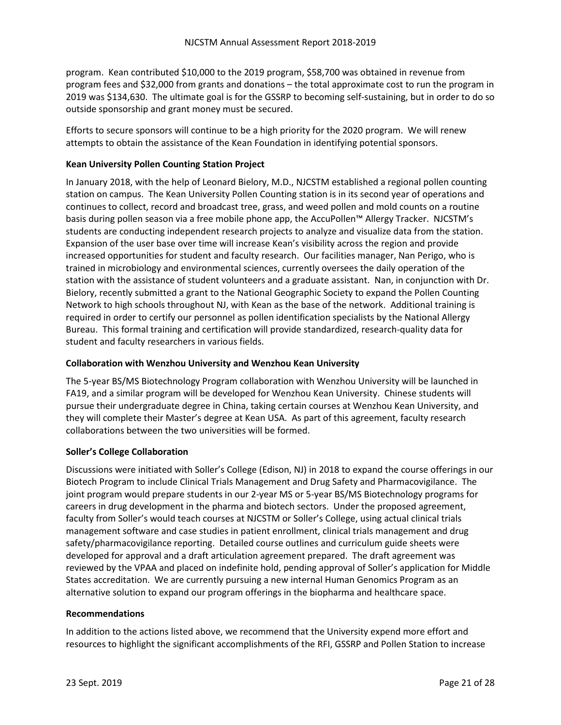program. Kean contributed \$10,000 to the 2019 program, \$58,700 was obtained in revenue from program fees and \$32,000 from grants and donations – the total approximate cost to run the program in 2019 was \$134,630. The ultimate goal is for the GSSRP to becoming self-sustaining, but in order to do so outside sponsorship and grant money must be secured.

Efforts to secure sponsors will continue to be a high priority for the 2020 program. We will renew attempts to obtain the assistance of the Kean Foundation in identifying potential sponsors.

#### **Kean University Pollen Counting Station Project**

In January 2018, with the help of Leonard Bielory, M.D., NJCSTM established a regional pollen counting station on campus. The Kean University Pollen Counting station is in its second year of operations and continues to collect, record and broadcast tree, grass, and weed pollen and mold counts on a routine basis during pollen season via a free mobile phone app, the AccuPollen™ Allergy Tracker. NJCSTM's students are conducting independent research projects to analyze and visualize data from the station. Expansion of the user base over time will increase Kean's visibility across the region and provide increased opportunities for student and faculty research. Our facilities manager, Nan Perigo, who is trained in microbiology and environmental sciences, currently oversees the daily operation of the station with the assistance of student volunteers and a graduate assistant. Nan, in conjunction with Dr. Bielory, recently submitted a grant to the National Geographic Society to expand the Pollen Counting Network to high schools throughout NJ, with Kean as the base of the network. Additional training is required in order to certify our personnel as pollen identification specialists by the National Allergy Bureau. This formal training and certification will provide standardized, research-quality data for student and faculty researchers in various fields.

#### **Collaboration with Wenzhou University and Wenzhou Kean University**

The 5-year BS/MS Biotechnology Program collaboration with Wenzhou University will be launched in FA19, and a similar program will be developed for Wenzhou Kean University. Chinese students will pursue their undergraduate degree in China, taking certain courses at Wenzhou Kean University, and they will complete their Master's degree at Kean USA. As part of this agreement, faculty research collaborations between the two universities will be formed.

#### **Soller's College Collaboration**

Discussions were initiated with Soller's College (Edison, NJ) in 2018 to expand the course offerings in our Biotech Program to include Clinical Trials Management and Drug Safety and Pharmacovigilance. The joint program would prepare students in our 2-year MS or 5-year BS/MS Biotechnology programs for careers in drug development in the pharma and biotech sectors. Under the proposed agreement, faculty from Soller's would teach courses at NJCSTM or Soller's College, using actual clinical trials management software and case studies in patient enrollment, clinical trials management and drug safety/pharmacovigilance reporting. Detailed course outlines and curriculum guide sheets were developed for approval and a draft articulation agreement prepared. The draft agreement was reviewed by the VPAA and placed on indefinite hold, pending approval of Soller's application for Middle States accreditation. We are currently pursuing a new internal Human Genomics Program as an alternative solution to expand our program offerings in the biopharma and healthcare space.

#### **Recommendations**

In addition to the actions listed above, we recommend that the University expend more effort and resources to highlight the significant accomplishments of the RFI, GSSRP and Pollen Station to increase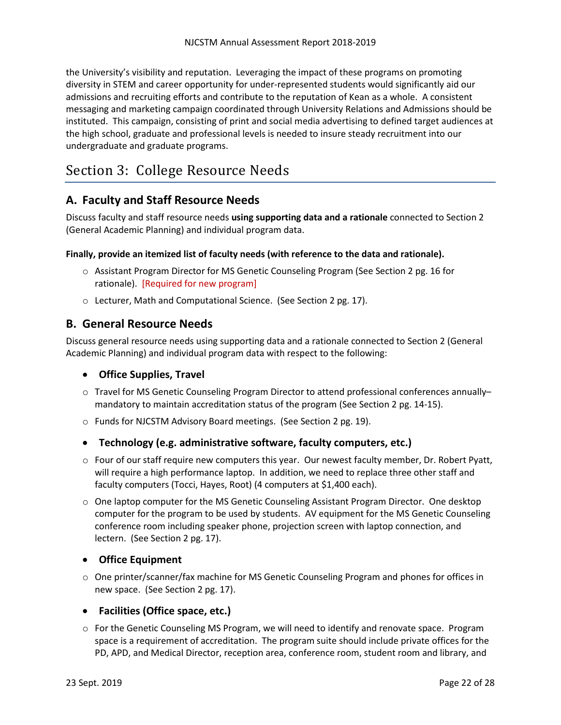the University's visibility and reputation. Leveraging the impact of these programs on promoting diversity in STEM and career opportunity for under-represented students would significantly aid our admissions and recruiting efforts and contribute to the reputation of Kean as a whole. A consistent messaging and marketing campaign coordinated through University Relations and Admissions should be instituted. This campaign, consisting of print and social media advertising to defined target audiences at the high school, graduate and professional levels is needed to insure steady recruitment into our undergraduate and graduate programs.

## <span id="page-23-0"></span>Section 3: College Resource Needs

## <span id="page-23-1"></span>**A. Faculty and Staff Resource Needs**

Discuss faculty and staff resource needs **using supporting data and a rationale** connected to Section 2 (General Academic Planning) and individual program data.

#### **Finally, provide an itemized list of faculty needs (with reference to the data and rationale).**

- o Assistant Program Director for MS Genetic Counseling Program (See Section 2 pg. 16 for rationale). [Required for new program]
- o Lecturer, Math and Computational Science. (See Section 2 pg. 17).

## <span id="page-23-2"></span>**B. General Resource Needs**

Discuss general resource needs using supporting data and a rationale connected to Section 2 (General Academic Planning) and individual program data with respect to the following:

## <span id="page-23-3"></span>• **Office Supplies, Travel**

- o Travel for MS Genetic Counseling Program Director to attend professional conferences annually– mandatory to maintain accreditation status of the program (See Section 2 pg. 14-15).
- o Funds for NJCSTM Advisory Board meetings. (See Section 2 pg. 19).

## <span id="page-23-4"></span>• **Technology (e.g. administrative software, faculty computers, etc.)**

- $\circ$  Four of our staff require new computers this year. Our newest faculty member, Dr. Robert Pyatt, will require a high performance laptop. In addition, we need to replace three other staff and faculty computers (Tocci, Hayes, Root) (4 computers at \$1,400 each).
- o One laptop computer for the MS Genetic Counseling Assistant Program Director. One desktop computer for the program to be used by students. AV equipment for the MS Genetic Counseling conference room including speaker phone, projection screen with laptop connection, and lectern. (See Section 2 pg. 17).

## <span id="page-23-5"></span>• **Office Equipment**

o One printer/scanner/fax machine for MS Genetic Counseling Program and phones for offices in new space. (See Section 2 pg. 17).

## <span id="page-23-6"></span>• **Facilities (Office space, etc.)**

o For the Genetic Counseling MS Program, we will need to identify and renovate space. Program space is a requirement of accreditation. The program suite should include private offices for the PD, APD, and Medical Director, reception area, conference room, student room and library, and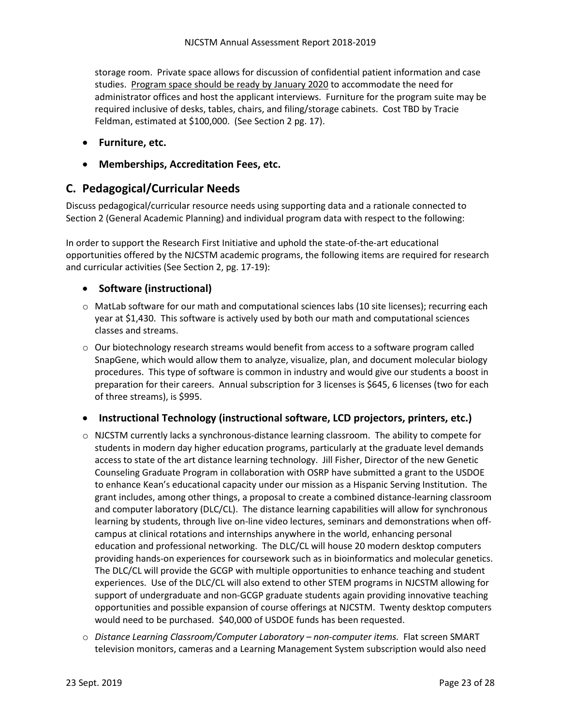storage room. Private space allows for discussion of confidential patient information and case studies. Program space should be ready by January 2020 to accommodate the need for administrator offices and host the applicant interviews. Furniture for the program suite may be required inclusive of desks, tables, chairs, and filing/storage cabinets. Cost TBD by Tracie Feldman, estimated at \$100,000. (See Section 2 pg. 17).

- <span id="page-24-0"></span>• **Furniture, etc.**
- <span id="page-24-1"></span>• **Memberships, Accreditation Fees, etc.**

## <span id="page-24-2"></span>**C. Pedagogical/Curricular Needs**

Discuss pedagogical/curricular resource needs using supporting data and a rationale connected to Section 2 (General Academic Planning) and individual program data with respect to the following:

In order to support the Research First Initiative and uphold the state-of-the-art educational opportunities offered by the NJCSTM academic programs, the following items are required for research and curricular activities (See Section 2, pg. 17-19):

## <span id="page-24-3"></span>• **Software (instructional)**

- o MatLab software for our math and computational sciences labs (10 site licenses); recurring each year at \$1,430. This software is actively used by both our math and computational sciences classes and streams.
- $\circ$  Our biotechnology research streams would benefit from access to a software program called SnapGene, which would allow them to analyze, visualize, plan, and document molecular biology procedures. This type of software is common in industry and would give our students a boost in preparation for their careers. Annual subscription for 3 licenses is \$645, 6 licenses (two for each of three streams), is \$995.

## <span id="page-24-4"></span>• **Instructional Technology (instructional software, LCD projectors, printers, etc.)**

- $\circ$  NJCSTM currently lacks a synchronous-distance learning classroom. The ability to compete for students in modern day higher education programs, particularly at the graduate level demands access to state of the art distance learning technology. Jill Fisher, Director of the new Genetic Counseling Graduate Program in collaboration with OSRP have submitted a grant to the USDOE to enhance Kean's educational capacity under our mission as a Hispanic Serving Institution. The grant includes, among other things, a proposal to create a combined distance-learning classroom and computer laboratory (DLC/CL). The distance learning capabilities will allow for synchronous learning by students, through live on-line video lectures, seminars and demonstrations when offcampus at clinical rotations and internships anywhere in the world, enhancing personal education and professional networking. The DLC/CL will house 20 modern desktop computers providing hands-on experiences for coursework such as in bioinformatics and molecular genetics. The DLC/CL will provide the GCGP with multiple opportunities to enhance teaching and student experiences. Use of the DLC/CL will also extend to other STEM programs in NJCSTM allowing for support of undergraduate and non-GCGP graduate students again providing innovative teaching opportunities and possible expansion of course offerings at NJCSTM. Twenty desktop computers would need to be purchased. \$40,000 of USDOE funds has been requested.
- o *Distance Learning Classroom/Computer Laboratory – non-computer items.* Flat screen SMART television monitors, cameras and a Learning Management System subscription would also need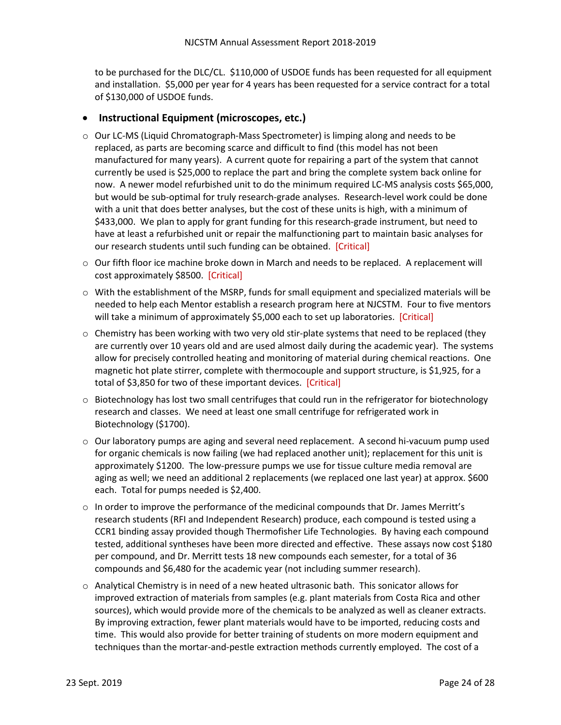to be purchased for the DLC/CL. \$110,000 of USDOE funds has been requested for all equipment and installation. \$5,000 per year for 4 years has been requested for a service contract for a total of \$130,000 of USDOE funds.

## <span id="page-25-0"></span>• **Instructional Equipment (microscopes, etc.)**

- o Our LC-MS (Liquid Chromatograph-Mass Spectrometer) is limping along and needs to be replaced, as parts are becoming scarce and difficult to find (this model has not been manufactured for many years). A current quote for repairing a part of the system that cannot currently be used is \$25,000 to replace the part and bring the complete system back online for now. A newer model refurbished unit to do the minimum required LC-MS analysis costs \$65,000, but would be sub-optimal for truly research-grade analyses. Research-level work could be done with a unit that does better analyses, but the cost of these units is high, with a minimum of \$433,000. We plan to apply for grant funding for this research-grade instrument, but need to have at least a refurbished unit or repair the malfunctioning part to maintain basic analyses for our research students until such funding can be obtained. [Critical]
- $\circ$  Our fifth floor ice machine broke down in March and needs to be replaced. A replacement will cost approximately \$8500. [Critical]
- $\circ$  With the establishment of the MSRP, funds for small equipment and specialized materials will be needed to help each Mentor establish a research program here at NJCSTM. Four to five mentors will take a minimum of approximately \$5,000 each to set up laboratories. [Critical]
- o Chemistry has been working with two very old stir-plate systems that need to be replaced (they are currently over 10 years old and are used almost daily during the academic year). The systems allow for precisely controlled heating and monitoring of material during chemical reactions. One magnetic hot plate stirrer, complete with thermocouple and support structure, is \$1,925, for a total of \$3,850 for two of these important devices. [Critical]
- $\circ$  Biotechnology has lost two small centrifuges that could run in the refrigerator for biotechnology research and classes. We need at least one small centrifuge for refrigerated work in Biotechnology (\$1700).
- $\circ$  Our laboratory pumps are aging and several need replacement. A second hi-vacuum pump used for organic chemicals is now failing (we had replaced another unit); replacement for this unit is approximately \$1200. The low-pressure pumps we use for tissue culture media removal are aging as well; we need an additional 2 replacements (we replaced one last year) at approx. \$600 each. Total for pumps needed is \$2,400.
- $\circ$  In order to improve the performance of the medicinal compounds that Dr. James Merritt's research students (RFI and Independent Research) produce, each compound is tested using a CCR1 binding assay provided though Thermofisher Life Technologies. By having each compound tested, additional syntheses have been more directed and effective. These assays now cost \$180 per compound, and Dr. Merritt tests 18 new compounds each semester, for a total of 36 compounds and \$6,480 for the academic year (not including summer research).
- $\circ$  Analytical Chemistry is in need of a new heated ultrasonic bath. This sonicator allows for improved extraction of materials from samples (e.g. plant materials from Costa Rica and other sources), which would provide more of the chemicals to be analyzed as well as cleaner extracts. By improving extraction, fewer plant materials would have to be imported, reducing costs and time. This would also provide for better training of students on more modern equipment and techniques than the mortar-and-pestle extraction methods currently employed. The cost of a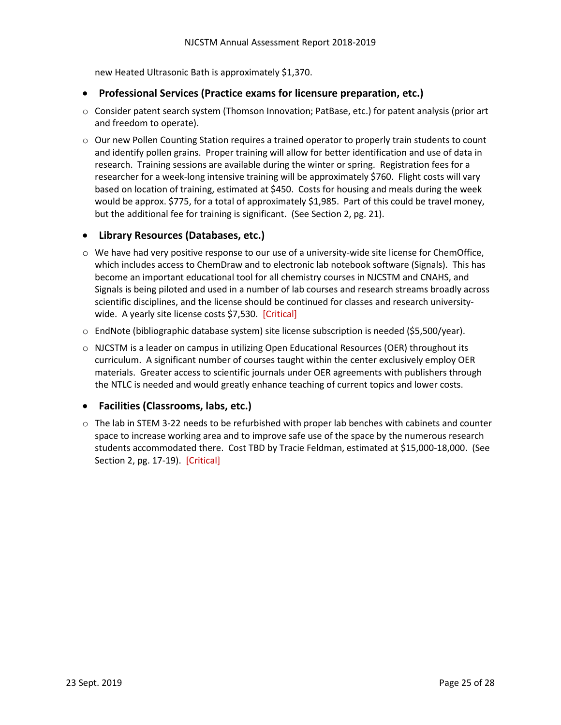new Heated Ultrasonic Bath is approximately \$1,370.

#### <span id="page-26-0"></span>• **Professional Services (Practice exams for licensure preparation, etc.)**

- o Consider patent search system (Thomson Innovation; PatBase, etc.) for patent analysis (prior art and freedom to operate).
- o Our new Pollen Counting Station requires a trained operator to properly train students to count and identify pollen grains. Proper training will allow for better identification and use of data in research. Training sessions are available during the winter or spring. Registration fees for a researcher for a week-long intensive training will be approximately \$760. Flight costs will vary based on location of training, estimated at \$450. Costs for housing and meals during the week would be approx. \$775, for a total of approximately \$1,985. Part of this could be travel money, but the additional fee for training is significant. (See Section 2, pg. 21).

### <span id="page-26-1"></span>• **Library Resources (Databases, etc.)**

- $\circ$  We have had very positive response to our use of a university-wide site license for ChemOffice, which includes access to ChemDraw and to electronic lab notebook software (Signals). This has become an important educational tool for all chemistry courses in NJCSTM and CNAHS, and Signals is being piloted and used in a number of lab courses and research streams broadly across scientific disciplines, and the license should be continued for classes and research universitywide. A yearly site license costs \$7,530. [Critical]
- o EndNote (bibliographic database system) site license subscription is needed (\$5,500/year).
- $\circ$  NJCSTM is a leader on campus in utilizing Open Educational Resources (OER) throughout its curriculum. A significant number of courses taught within the center exclusively employ OER materials. Greater access to scientific journals under OER agreements with publishers through the NTLC is needed and would greatly enhance teaching of current topics and lower costs.

## <span id="page-26-2"></span>• **Facilities (Classrooms, labs, etc.)**

 $\circ$  The lab in STEM 3-22 needs to be refurbished with proper lab benches with cabinets and counter space to increase working area and to improve safe use of the space by the numerous research students accommodated there. Cost TBD by Tracie Feldman, estimated at \$15,000-18,000. (See Section 2, pg. 17-19). [Critical]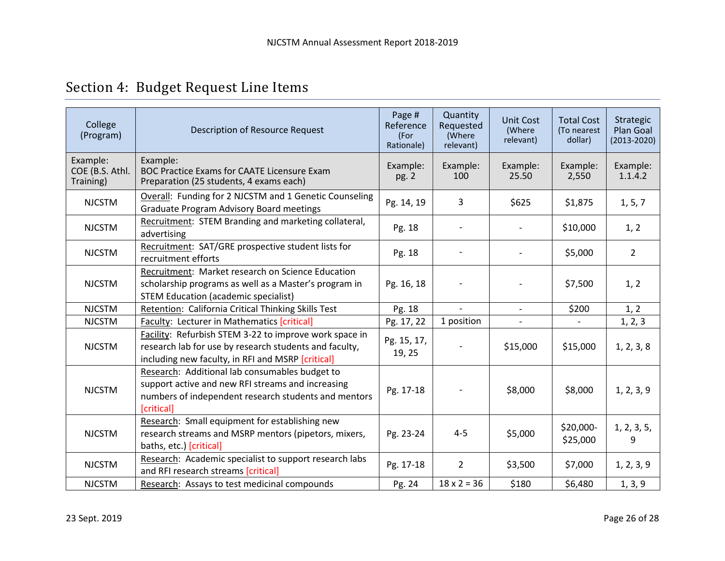<span id="page-27-0"></span>

| College<br>(Program)                     | <b>Description of Resource Request</b>                                                                                                                                    | Page #<br>Reference<br>(For<br>Rationale) | Quantity<br>Requested<br>(Where<br>relevant) | <b>Unit Cost</b><br>(Where<br>relevant) | <b>Total Cost</b><br>(To nearest<br>dollar) | Strategic<br>Plan Goal<br>$(2013 - 2020)$ |
|------------------------------------------|---------------------------------------------------------------------------------------------------------------------------------------------------------------------------|-------------------------------------------|----------------------------------------------|-----------------------------------------|---------------------------------------------|-------------------------------------------|
| Example:<br>COE (B.S. Athl.<br>Training) | Example:<br><b>BOC Practice Exams for CAATE Licensure Exam</b><br>Preparation (25 students, 4 exams each)                                                                 | Example:<br>pg. 2                         | Example:<br>100                              | Example:<br>25.50                       | Example:<br>2,550                           | Example:<br>1.1.4.2                       |
| <b>NJCSTM</b>                            | Overall: Funding for 2 NJCSTM and 1 Genetic Counseling<br><b>Graduate Program Advisory Board meetings</b>                                                                 | Pg. 14, 19                                | 3                                            | \$625                                   | \$1,875                                     | 1, 5, 7                                   |
| <b>NJCSTM</b>                            | Recruitment: STEM Branding and marketing collateral,<br>advertising                                                                                                       | Pg. 18                                    |                                              |                                         | \$10,000                                    | 1, 2                                      |
| <b>NJCSTM</b>                            | Recruitment: SAT/GRE prospective student lists for<br>recruitment efforts                                                                                                 | Pg. 18                                    |                                              |                                         | \$5,000                                     | $\overline{2}$                            |
| <b>NJCSTM</b>                            | Recruitment: Market research on Science Education<br>scholarship programs as well as a Master's program in<br><b>STEM Education (academic specialist)</b>                 | Pg. 16, 18                                |                                              |                                         | \$7,500                                     | 1, 2                                      |
| <b>NJCSTM</b>                            | Retention: California Critical Thinking Skills Test                                                                                                                       | Pg. 18                                    | $\sim$                                       |                                         | \$200                                       | 1, 2                                      |
| <b>NJCSTM</b>                            | Faculty: Lecturer in Mathematics [critical]                                                                                                                               | Pg. 17, 22                                | 1 position                                   |                                         |                                             | 1, 2, 3                                   |
| <b>NJCSTM</b>                            | Facility: Refurbish STEM 3-22 to improve work space in<br>research lab for use by research students and faculty,<br>including new faculty, in RFI and MSRP [critical]     | Pg. 15, 17,<br>19, 25                     |                                              | \$15,000                                | \$15,000                                    | 1, 2, 3, 8                                |
| <b>NJCSTM</b>                            | Research: Additional lab consumables budget to<br>support active and new RFI streams and increasing<br>numbers of independent research students and mentors<br>[critical] | Pg. 17-18                                 |                                              | \$8,000                                 | \$8,000                                     | 1, 2, 3, 9                                |
| <b>NJCSTM</b>                            | Research: Small equipment for establishing new<br>research streams and MSRP mentors (pipetors, mixers,<br>baths, etc.) [critical]                                         | Pg. 23-24                                 | $4 - 5$                                      | \$5,000                                 | \$20,000-<br>\$25,000                       | 1, 2, 3, 5,<br>9                          |
| <b>NJCSTM</b>                            | Research: Academic specialist to support research labs<br>and RFI research streams [critical]                                                                             | Pg. 17-18                                 | $\overline{2}$                               | \$3,500                                 | \$7,000                                     | 1, 2, 3, 9                                |
| <b>NJCSTM</b>                            | Research: Assays to test medicinal compounds                                                                                                                              | Pg. 24                                    | $18 \times 2 = 36$                           | \$180                                   | \$6,480                                     | 1, 3, 9                                   |

# Section 4: Budget Request Line Items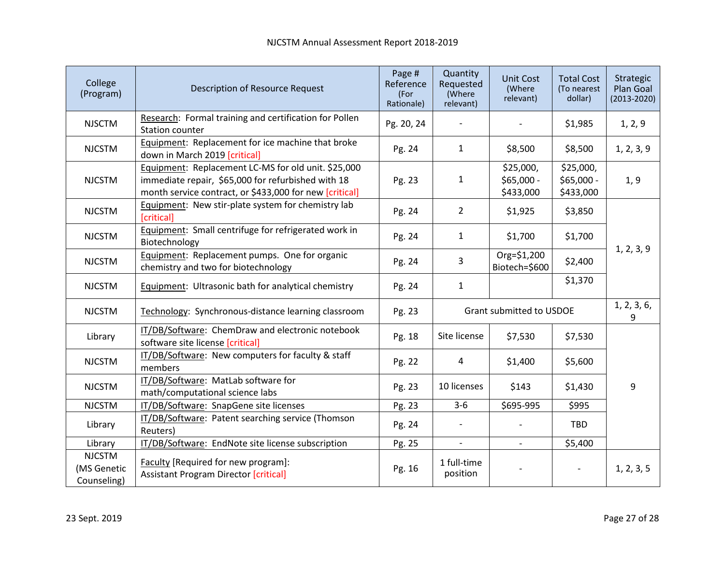| College<br>(Program)                        | <b>Description of Resource Request</b>                                                                                                                               | Page #<br>Reference<br>(For<br>Rationale) | Quantity<br>Requested<br>(Where<br>relevant) | <b>Unit Cost</b><br>(Where<br>relevant) | <b>Total Cost</b><br>(To nearest<br>dollar) | Strategic<br>Plan Goal<br>$(2013 - 2020)$ |
|---------------------------------------------|----------------------------------------------------------------------------------------------------------------------------------------------------------------------|-------------------------------------------|----------------------------------------------|-----------------------------------------|---------------------------------------------|-------------------------------------------|
| <b>NJSCTM</b>                               | Research: Formal training and certification for Pollen<br><b>Station counter</b>                                                                                     | Pg. 20, 24                                |                                              |                                         | \$1,985                                     | 1, 2, 9                                   |
| <b>NJCSTM</b>                               | Equipment: Replacement for ice machine that broke<br>down in March 2019 [critical]                                                                                   | Pg. 24                                    | $\mathbf{1}$                                 | \$8,500                                 | \$8,500                                     | 1, 2, 3, 9                                |
| <b>NJCSTM</b>                               | Equipment: Replacement LC-MS for old unit. \$25,000<br>immediate repair, \$65,000 for refurbished with 18<br>month service contract, or \$433,000 for new [critical] | Pg. 23                                    | $\mathbf{1}$                                 | \$25,000,<br>\$65,000 -<br>\$433,000    | \$25,000,<br>\$65,000 -<br>\$433,000        | 1, 9                                      |
| <b>NJCSTM</b>                               | Equipment: New stir-plate system for chemistry lab<br>[critical]                                                                                                     | Pg. 24                                    | $\overline{2}$                               | \$1,925                                 | \$3,850                                     |                                           |
| <b>NJCSTM</b>                               | Equipment: Small centrifuge for refrigerated work in<br>Biotechnology                                                                                                | Pg. 24                                    | $\mathbf{1}$                                 | \$1,700                                 | \$1,700                                     |                                           |
| <b>NJCSTM</b>                               | Equipment: Replacement pumps. One for organic<br>chemistry and two for biotechnology                                                                                 | Pg. 24                                    | 3                                            | Org=\$1,200<br>Biotech=\$600            | \$2,400                                     | 1, 2, 3, 9                                |
| <b>NJCSTM</b>                               | Equipment: Ultrasonic bath for analytical chemistry                                                                                                                  | Pg. 24                                    | $\mathbf{1}$                                 |                                         | \$1,370                                     |                                           |
| <b>NJCSTM</b>                               | Technology: Synchronous-distance learning classroom                                                                                                                  | Pg. 23                                    |                                              | Grant submitted to USDOE                |                                             | 1, 2, 3, 6,<br>9                          |
| Library                                     | IT/DB/Software: ChemDraw and electronic notebook<br>software site license [critical]                                                                                 | Pg. 18                                    | Site license                                 | \$7,530                                 | \$7,530                                     |                                           |
| <b>NJCSTM</b>                               | IT/DB/Software: New computers for faculty & staff<br>members                                                                                                         | Pg. 22                                    | 4                                            | \$1,400                                 | \$5,600                                     |                                           |
| <b>NJCSTM</b>                               | IT/DB/Software: MatLab software for<br>math/computational science labs                                                                                               | Pg. 23                                    | 10 licenses                                  | \$143                                   | \$1,430                                     | 9                                         |
| <b>NJCSTM</b>                               | IT/DB/Software: SnapGene site licenses                                                                                                                               | Pg. 23                                    | $3-6$                                        | \$695-995                               | \$995                                       |                                           |
| Library                                     | IT/DB/Software: Patent searching service (Thomson<br>Reuters)                                                                                                        | Pg. 24                                    |                                              |                                         | TBD                                         |                                           |
| Library                                     | IT/DB/Software: EndNote site license subscription                                                                                                                    | Pg. 25                                    | $\overline{\phantom{a}}$                     |                                         | \$5,400                                     |                                           |
| <b>NJCSTM</b><br>(MS Genetic<br>Counseling) | Faculty [Required for new program]:<br><b>Assistant Program Director [critical]</b>                                                                                  | Pg. 16                                    | 1 full-time<br>position                      |                                         |                                             | 1, 2, 3, 5                                |